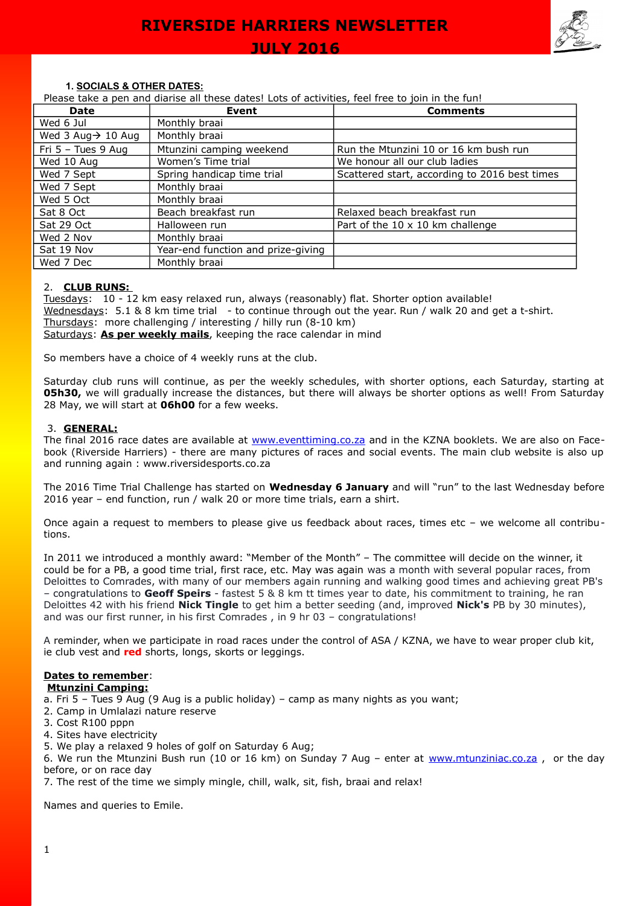

### **1. SOCIALS & OTHER DATES:**

Please take a pen and diarise all these dates! Lots of activities, feel free to join in the fun!

| <b>Date</b>                    | Event                              | <b>Comments</b>                               |
|--------------------------------|------------------------------------|-----------------------------------------------|
| Wed 6 Jul                      | Monthly braai                      |                                               |
| Wed 3 Aug $\rightarrow$ 10 Aug | Monthly braai                      |                                               |
| Fri $5 -$ Tues 9 Aug           | Mtunzini camping weekend           | Run the Mtunzini 10 or 16 km bush run         |
| Wed 10 Aug                     | Women's Time trial                 | We honour all our club ladies                 |
| Wed 7 Sept                     | Spring handicap time trial         | Scattered start, according to 2016 best times |
| Wed 7 Sept                     | Monthly braai                      |                                               |
| Wed 5 Oct                      | Monthly braai                      |                                               |
| Sat 8 Oct                      | Beach breakfast run                | Relaxed beach breakfast run                   |
| Sat 29 Oct                     | Halloween run                      | Part of the $10 \times 10$ km challenge       |
| Wed 2 Nov                      | Monthly braai                      |                                               |
| Sat 19 Nov                     | Year-end function and prize-giving |                                               |
| Wed 7 Dec                      | Monthly braai                      |                                               |

### 2. **CLUB RUNS:**

Tuesdays: 10 - 12 km easy relaxed run, always (reasonably) flat. Shorter option available! Wednesdays: 5.1 & 8 km time trial - to continue through out the year. Run / walk 20 and get a t-shirt. Thursdays: more challenging / interesting / hilly run (8-10 km) Saturdays: **As per weekly mails**, keeping the race calendar in mind

So members have a choice of 4 weekly runs at the club.

Saturday club runs will continue, as per the weekly schedules, with shorter options, each Saturday, starting at **05h30,** we will gradually increase the distances, but there will always be shorter options as well! From Saturday 28 May, we will start at **06h00** for a few weeks.

### 3. **GENERAL:**

The final 2016 race dates are available at [www.eventtiming.co.za](http://www.eventtiming.co.za/) and in the KZNA booklets. We are also on Facebook (Riverside Harriers) - there are many pictures of races and social events. The main club website is also up and running again : www.riversidesports.co.za

The 2016 Time Trial Challenge has started on **Wednesday 6 January** and will "run" to the last Wednesday before 2016 year – end function, run / walk 20 or more time trials, earn a shirt.

Once again a request to members to please give us feedback about races, times etc – we welcome all contributions.

In 2011 we introduced a monthly award: "Member of the Month" – The committee will decide on the winner, it could be for a PB, a good time trial, first race, etc. May was again was a month with several popular races, from Deloittes to Comrades, with many of our members again running and walking good times and achieving great PB's – congratulations to **Geoff Speirs** - fastest 5 & 8 km tt times year to date, his commitment to training, he ran Deloittes 42 with his friend **Nick Tingle** to get him a better seeding (and, improved **Nick's** PB by 30 minutes), and was our first runner, in his first Comrades , in 9 hr 03 – congratulations!

A reminder, when we participate in road races under the control of ASA / KZNA, we have to wear proper club kit, ie club vest and **red** shorts, longs, skorts or leggings.

## **Dates to remember**:

## **Mtunzini Camping:**

a. Fri 5 – Tues 9 Aug (9 Aug is a public holiday) – camp as many nights as you want;

- 2. Camp in Umlalazi nature reserve
- 3. Cost R100 pppn
- 4. Sites have electricity
- 5. We play a relaxed 9 holes of golf on Saturday 6 Aug;

6. We run the Mtunzini Bush run (10 or 16 km) on Sunday 7 Aug – enter at [www.mtunziniac.co.za](http://www.mtunziniac.co.za/) , or the day before, or on race day

7. The rest of the time we simply mingle, chill, walk, sit, fish, braai and relax!

Names and queries to Emile.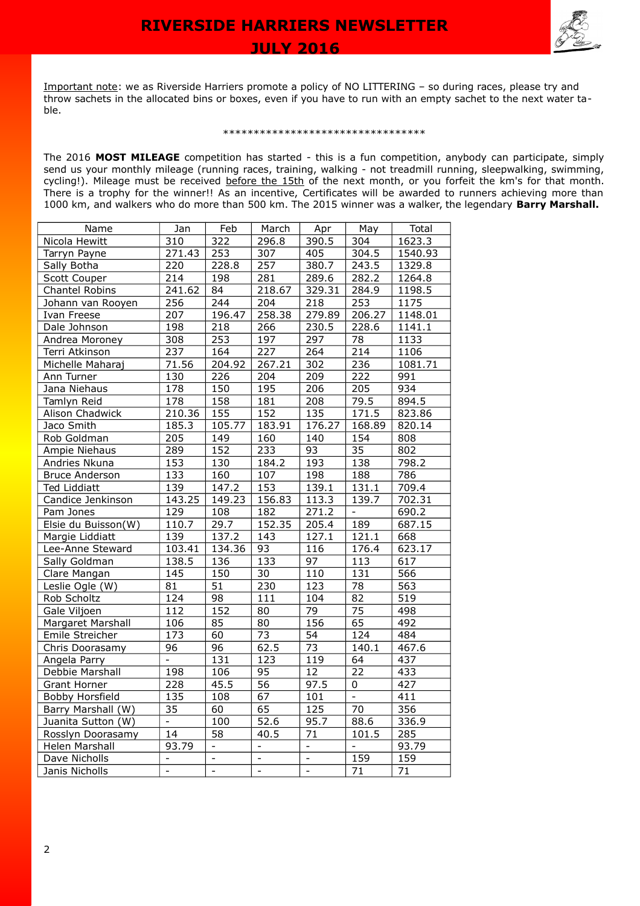

Important note: we as Riverside Harriers promote a policy of NO LITTERING – so during races, please try and throw sachets in the allocated bins or boxes, even if you have to run with an empty sachet to the next water table.

#### \*\*\*\*\*\*\*\*\*\*\*\*\*\*\*\*\*\*\*\*\*\*\*\*\*\*\*\*\*\*\*\*\*

The 2016 **MOST MILEAGE** competition has started - this is a fun competition, anybody can participate, simply send us your monthly mileage (running races, training, walking - not treadmill running, sleepwalking, swimming, cycling!). Mileage must be received before the 15th of the next month, or you forfeit the km's for that month. There is a trophy for the winner!! As an incentive, Certificates will be awarded to runners achieving more than 1000 km, and walkers who do more than 500 km. The 2015 winner was a walker, the legendary **Barry Marshall.**

| Name                  | Jan                      | Feb                      | March                    | Apr                          | May                      | Total            |
|-----------------------|--------------------------|--------------------------|--------------------------|------------------------------|--------------------------|------------------|
| Nicola Hewitt         | 310                      | 322                      | 296.8                    | 390.5                        | $\overline{304}$         | 1623.3           |
| Tarryn Payne          | 271.43                   | 253                      | 307                      | 405                          | 304.5                    | 1540.93          |
| Sally Botha           | 220                      | 228.8                    | 257                      | 380.7                        | 243.5                    | 1329.8           |
| <b>Scott Couper</b>   | $\overline{214}$         | 198                      | 281                      | 289.6                        | 282.2                    | 1264.8           |
| Chantel Robins        | 241.62                   | 84                       | 218.67                   | 329.31                       | 284.9                    | 1198.5           |
| Johann van Rooyen     | 256                      | 244                      | 204                      | 218                          | 253                      | 1175             |
| Ivan Freese           | $\overline{207}$         | 196.47                   | 258.38                   | 279.89                       | 206.27                   | 1148.01          |
| Dale Johnson          | 198                      | 218                      | 266                      | 230.5                        | 228.6                    | 1141.1           |
| Andrea Moroney        | 308                      | 253                      | 197                      | 297                          | 78                       | 1133             |
| Terri Atkinson        | 237                      | 164                      | $\overline{227}$         | 264                          | $\overline{214}$         | 1106             |
| Michelle Maharaj      | 71.56                    | 204.92                   | 267.21                   | 302                          | 236                      | 1081.71          |
| Ann Turner            | 130                      | 226                      | 204                      | 209                          | 222                      | 991              |
| Jana Niehaus          | 178                      | 150                      | 195                      | $\overline{206}$             | 205                      | $\overline{934}$ |
| Tamlyn Reid           | 178                      | 158                      | 181                      | 208                          | 79.5                     | 894.5            |
| Alison Chadwick       | 210.36                   | 155                      | 152                      | $\overline{135}$             | 171.5                    | 823.86           |
| Jaco Smith            | 185.3                    | 105.77                   | 183.91                   | 176.27                       | 168.89                   | 820.14           |
| Rob Goldman           | 205                      | 149                      | 160                      | 140                          | 154                      | 808              |
| Ampie Niehaus         | 289                      | 152                      | 233                      | 93                           | $\overline{35}$          | 802              |
| Andries Nkuna         | 153                      | 130                      | 184.2                    | 193                          | 138                      | 798.2            |
| <b>Bruce Anderson</b> | 133                      | 160                      | 107                      | 198                          | 188                      | 786              |
| <b>Ted Liddiatt</b>   | 139                      | 147.2                    | 153                      | 139.1                        | 131.1                    | 709.4            |
| Candice Jenkinson     | 143.25                   | 149.23                   | 156.83                   | 113.3                        | 139.7                    | 702.31           |
| Pam Jones             | 129                      | 108                      | 182                      | 271.2                        | $\overline{\phantom{a}}$ | 690.2            |
| Elsie du Buisson(W)   | 110.7                    | 29.7                     | 152.35                   | 205.4                        | 189                      | 687.15           |
| Margie Liddiatt       | 139                      | 137.2                    | 143                      | 127.1                        | 121.1                    | 668              |
| Lee-Anne Steward      | 103.41                   | 134.36                   | 93                       | 116                          | 176.4                    | 623.17           |
| Sally Goldman         | 138.5                    | 136                      | 133                      | 97                           | 113                      | 617              |
| Clare Mangan          | 145                      | 150                      | $\overline{30}$          | 110                          | 131                      | 566              |
| Leslie Ogle (W)       | 81                       | 51                       | 230                      | 123                          | 78                       | 563              |
| Rob Scholtz           | 124                      | 98                       | 111                      | 104                          | 82                       | 519              |
| Gale Viljoen          | 112                      | 152                      | 80                       | 79                           | 75                       | 498              |
| Margaret Marshall     | 106                      | 85                       | 80                       | 156                          | 65                       | 492              |
| Emile Streicher       | 173                      | 60                       | $\overline{73}$          | $\overline{54}$              | 124                      | 484              |
| Chris Doorasamy       | $\overline{96}$          | $\overline{96}$          | 62.5                     | $\overline{73}$              | 140.1                    | 467.6            |
| Angela Parry          | $\frac{1}{2}$            | 131                      | 123                      | 119                          | 64                       | 437              |
| Debbie Marshall       | 198                      | 106                      | $\overline{95}$          | $\overline{12}$              | $\overline{22}$          | 433              |
| <b>Grant Horner</b>   | $\overline{228}$         | 45.5                     | $\overline{56}$          | $\frac{97.5}{ }$             | $\overline{0}$           | 427              |
| Bobby Horsfield       | 135                      | 108                      | 67                       | 101                          | $\frac{1}{2}$            | 411              |
| Barry Marshall (W)    | $\overline{35}$          | 60                       | 65                       | 125                          | $\overline{70}$          | 356              |
| Juanita Sutton (W)    | $\blacksquare$           | 100                      | $\overline{52.6}$        | 95.7                         | 88.6                     | 336.9            |
| Rosslyn Doorasamy     | 14                       | 58                       | 40.5                     | 71                           | 101.5                    | 285              |
| <b>Helen Marshall</b> | 93.79                    | $\frac{1}{2}$            | $\frac{1}{2}$            | $\overline{a}$               | $\frac{1}{2}$            | 93.79            |
| Dave Nicholls         | $\overline{\phantom{a}}$ | $\overline{\phantom{a}}$ | $\overline{\phantom{a}}$ | $\qquad \qquad \blacksquare$ | 159                      | 159              |
| Janis Nicholls        | $\overline{a}$           | $\blacksquare$           | $\equiv$                 | $\Box$                       | 71                       | 71               |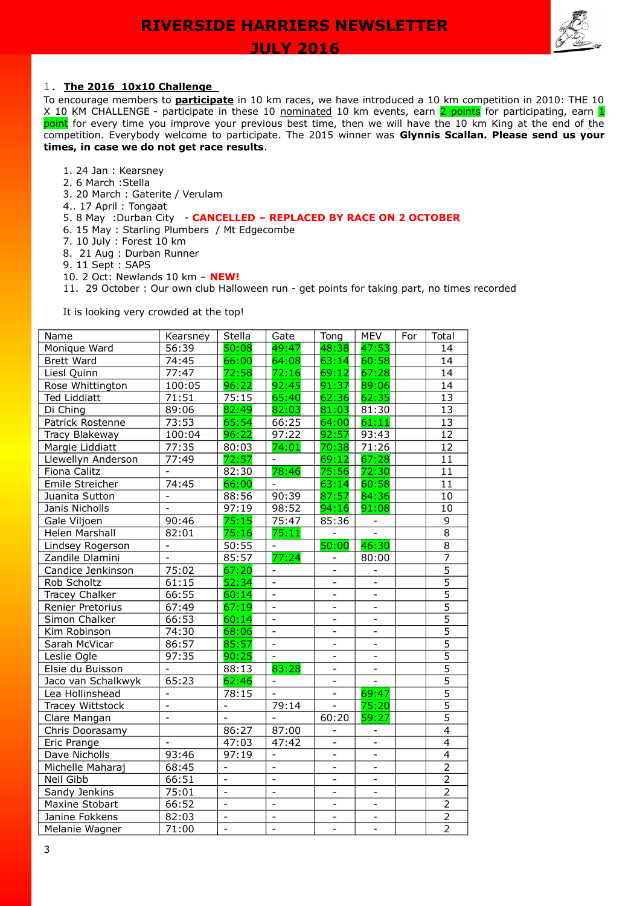

# 1. **The 2016 10x10 Challenge**

To encourage members to **participate** in 10 km races, we have introduced a 10 km competition in 2010: THE 10 X 10 KM CHALLENGE - participate in these 10 nominated 10 km events, earn 2 points for participating, earn 1 point for every time you improve your previous best time, then we will have the 10 km King at the end of the competition. Everybody welcome to participate. The 2015 winner was **Glynnis Scallan. Please send us your times, in case we do not get race results**.

- 1. 24 Jan : Kearsney
- 2. 6 March :Stella
- 3. 20 March : Gaterite / Verulam
- 4.. 17 April : Tongaat
- 5. 8 May :Durban City **CANCELLED REPLACED BY RACE ON 2 OCTOBER**
- 6. 15 May : Starling Plumbers / Mt Edgecombe
- 7. 10 July : Forest 10 km
- 8. 21 Aug : Durban Runner
- 9. 11 Sept : SAPS
- 10. 2 Oct: Newlands 10 km **NEW!**
- 11. 29 October : Our own club Halloween run get points for taking part, no times recorded

It is looking very crowded at the top!

| Name                  | Kearsney                 | Stella                   | Gate                     | Tong                     | <b>MEV</b>                   | For | Total           |
|-----------------------|--------------------------|--------------------------|--------------------------|--------------------------|------------------------------|-----|-----------------|
| Monique Ward          | 56:39                    | 50:08                    | 49:47                    | 48:38                    | 47:53                        |     | 14              |
| <b>Brett Ward</b>     | 74:45                    | 66:00                    | 64:08                    | 63:14                    | 60:58                        |     | 14              |
| Liesl Quinn           | 77:47                    | 72:58                    | 72:16                    | 69:12                    | 67:28                        |     | 14              |
| Rose Whittington      | 100:05                   | 96:22                    | 92:45                    | 91:37                    | 89:06                        |     | $\overline{14}$ |
| <b>Ted Liddiatt</b>   | 71:51                    | 75:15                    | 65:40                    | 62:36                    | 62:35                        |     | 13              |
| Di Ching              | 89:06                    | 82:49                    | 82:03                    | 81:03                    | 81:30                        |     | $\overline{13}$ |
| Patrick Rostenne      | 73:53                    | 65:54                    | 66:25                    | 64:00                    | 61:11                        |     | 13              |
| Tracy Blakeway        | 100:04                   | 96:22                    | 97:22                    | 92:57                    | 93:43                        |     | $\overline{12}$ |
| Margie Liddiatt       | 77:35                    | 80:03                    | 74:01                    | 70:38                    | 71:26                        |     | $\overline{12}$ |
| Llewellyn Anderson    | 77:49                    | 72:57                    | $\blacksquare$           | 69:12                    | 67:28                        |     | $\overline{11}$ |
| Fiona Calitz          |                          | 82:30                    | 78:46                    | 75:56                    | 72:30                        |     | 11              |
| Emile Streicher       | 74:45                    | 66:00                    | $\equiv$                 | 63:14                    | 60:58                        |     | $\overline{11}$ |
| Juanita Sutton        |                          | 88:56                    | 90:39                    | 87:57                    | 84:36                        |     | 10              |
| Janis Nicholls        | $\overline{a}$           | 97:19                    | 98:52                    | 94:16                    | 91:08                        |     | $\overline{10}$ |
| Gale Viljoen          | 90:46                    | 75:15                    | 75:47                    | 85:36                    | $\overline{\phantom{a}}$     |     | $\overline{9}$  |
| Helen Marshall        | 82:01                    | 75:16                    | 75:11                    | ÷                        | $\qquad \qquad \blacksquare$ |     | $\overline{8}$  |
| Lindsey Rogerson      | $\equiv$                 | 50:55                    | $\blacksquare$           | 50:00                    | 46:30                        |     | $\overline{8}$  |
| Zandile Dlamini       | $\equiv$                 | 85:57                    | 77:24                    |                          | 80:00                        |     | $\overline{7}$  |
| Candice Jenkinson     | 75:02                    | 67:20                    |                          |                          |                              |     | $\overline{5}$  |
| Rob Scholtz           | 61:15                    | 52:34                    | $\Box$                   | ÷,                       | $\equiv$                     |     | $\overline{5}$  |
| <b>Tracey Chalker</b> | 66:55                    | 60:14                    | $\Box$                   | ÷,                       | $\overline{\phantom{a}}$     |     | $\overline{5}$  |
| Renier Pretorius      | 67:49                    | 67:19                    | $\frac{1}{2}$            | $\overline{\phantom{0}}$ | $\overline{\phantom{0}}$     |     | $\overline{5}$  |
| Simon Chalker         | 66:53                    | 60:14                    | $\bar{\phantom{a}}$      | $\overline{\phantom{0}}$ | $\frac{1}{2}$                |     | $\overline{5}$  |
| Kim Robinson          | 74:30                    | 68:06                    | $\overline{\phantom{a}}$ | $\overline{\phantom{0}}$ |                              |     | $\overline{5}$  |
| Sarah McVicar         | 86:57                    | 85:57                    | $\frac{1}{2}$            | $\overline{a}$           | $\overline{a}$               |     | $\overline{5}$  |
| Leslie Ogle           | 97:35                    | 90:25                    | $\frac{1}{2}$            | $\overline{\phantom{0}}$ | $\overline{\phantom{0}}$     |     | $\overline{5}$  |
| Elsie du Buisson      |                          | 88:13                    | 83:28                    | $\overline{\phantom{0}}$ | $\overline{\phantom{0}}$     |     | $\overline{5}$  |
| Jaco van Schalkwyk    | 65:23                    | 62:46                    | $\overline{\phantom{a}}$ | $\overline{\phantom{0}}$ | $\frac{1}{2}$                |     | $\overline{5}$  |
| Lea Hollinshead       | $\overline{\phantom{a}}$ | 78:15                    | $\equiv$                 | $\overline{a}$           | 69:47                        |     | $\overline{5}$  |
| Tracey Wittstock      | $\overline{a}$           |                          | 79:14                    |                          | 75:20                        |     | $\overline{5}$  |
| Clare Mangan          | $\overline{a}$           | $\overline{a}$           | $\mathbf{r}$             | 60:20                    | 59:27                        |     | $\overline{5}$  |
| Chris Doorasamy       |                          | 86:27                    | 87:00                    |                          | $\overline{\phantom{0}}$     |     | 4               |
| Eric Prange           | $\overline{a}$           | 47:03                    | 47:42                    | $\blacksquare$           | $\overline{\phantom{0}}$     |     | $\overline{4}$  |
| Dave Nicholls         | 93:46                    | 97:19                    | $\overline{\phantom{a}}$ | $\overline{\phantom{0}}$ | $\qquad \qquad \blacksquare$ |     | $\overline{4}$  |
| Michelle Maharaj      | 68:45                    |                          | $\overline{\phantom{a}}$ | ÷,                       |                              |     | $\overline{2}$  |
| Neil Gibb             | 66:51                    | $\overline{a}$           | $\overline{a}$           | $\overline{a}$           | $\overline{a}$               |     | $\overline{2}$  |
| Sandy Jenkins         | 75:01                    | $\blacksquare$           | $\blacksquare$           | $\overline{\phantom{0}}$ | $\overline{\phantom{0}}$     |     | $\overline{2}$  |
| Maxine Stobart        | 66:52                    | $\overline{a}$           | $\overline{\phantom{a}}$ | $\overline{\phantom{0}}$ | $\qquad \qquad \blacksquare$ |     | $\overline{c}$  |
| Janine Fokkens        | 82:03                    | $\overline{\phantom{a}}$ | $\bar{\phantom{a}}$      | $\blacksquare$           | $\qquad \qquad -$            |     | $\overline{2}$  |
| Melanie Wagner        | 71:00                    | $\overline{a}$           | $\overline{a}$           |                          | $\overline{a}$               |     | $\overline{2}$  |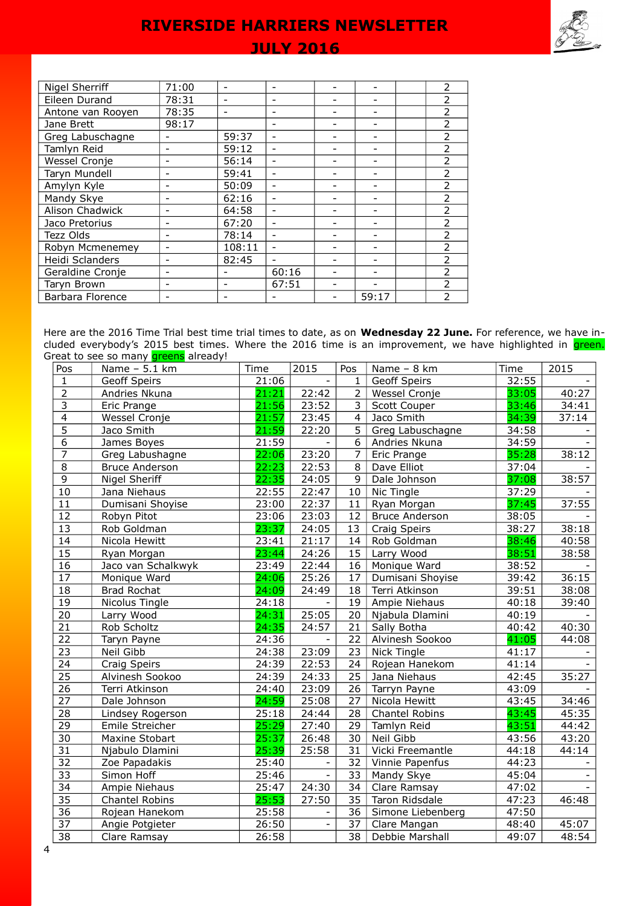# **JULY 2016**

| <b>Nigel Sherriff</b> | 71:00 |        | $\overline{\phantom{0}}$ |       | 2                        |
|-----------------------|-------|--------|--------------------------|-------|--------------------------|
| Eileen Durand         | 78:31 |        |                          |       | $\mathcal{P}$            |
| Antone van Rooyen     | 78:35 |        |                          |       | $\mathcal{P}$            |
| Jane Brett            | 98:17 |        |                          |       | $\mathcal{P}$            |
| Greg Labuschagne      |       | 59:37  |                          |       | $\overline{\phantom{a}}$ |
| Tamlyn Reid           |       | 59:12  |                          |       | $\overline{\phantom{a}}$ |
| Wessel Cronje         |       | 56:14  | ۰                        |       | $\overline{2}$           |
| Taryn Mundell         |       | 59:41  | ۰                        |       | $\overline{2}$           |
| Amylyn Kyle           |       | 50:09  | $\overline{\phantom{0}}$ |       | $\overline{\phantom{a}}$ |
| Mandy Skye            |       | 62:16  | ۰                        |       | $\mathcal{P}$            |
| Alison Chadwick       |       | 64:58  | ۰                        |       | 2                        |
| Jaco Pretorius        |       | 67:20  | $\overline{\phantom{0}}$ |       | 2                        |
| Tezz Olds             |       | 78:14  |                          |       | $\overline{2}$           |
| Robyn Mcmenemey       |       | 108:11 | $\overline{\phantom{0}}$ |       | 2                        |
| Heidi Sclanders       |       | 82:45  |                          |       | $\overline{2}$           |
| Geraldine Cronje      |       |        | 60:16                    |       | 2                        |
| Taryn Brown           |       |        | 67:51                    |       | $\mathcal{P}$            |
| Barbara Florence      |       |        |                          | 59:17 | $\mathcal{P}$            |
|                       |       |        |                          |       |                          |

Here are the 2016 Time Trial best time trial times to date, as on **Wednesday 22 June.** For reference, we have included everybody's 2015 best times. Where the 2016 time is an improvement, we have highlighted in <mark>green.</mark> Great to see so many **greens** already!

| Pos             | Name - 5.1 km         | Time  | 2015                     | Pos             | Name - 8 km           | Time  | 2015  |
|-----------------|-----------------------|-------|--------------------------|-----------------|-----------------------|-------|-------|
| $\mathbf{1}$    | Geoff Speirs          | 21:06 |                          | $\mathbf{1}$    | Geoff Speirs          | 32:55 |       |
| $\overline{2}$  | Andries Nkuna         | 21:21 | 22:42                    | $\overline{2}$  | Wessel Cronje         | 33:05 | 40:27 |
| $\overline{3}$  | Eric Prange           | 21:56 | 23:52                    | $\overline{3}$  | Scott Couper          | 33:46 | 34:41 |
| $\overline{4}$  | Wessel Cronje         | 21:57 | 23:45                    | $\overline{4}$  | Jaco Smith            | 34:39 | 37:14 |
| $\overline{5}$  | Jaco Smith            | 21:59 | 22:20                    | $\overline{5}$  | Greg Labuschagne      | 34:58 |       |
| 6               | James Boyes           | 21:59 |                          | 6               | Andries Nkuna         | 34:59 |       |
| 7               | Greg Labushagne       | 22:06 | 23:20                    | $\overline{7}$  | Eric Prange           | 35:28 | 38:12 |
| 8               | <b>Bruce Anderson</b> | 22:23 | 22:53                    | 8               | Dave Elliot           | 37:04 |       |
| $\overline{9}$  | Nigel Sheriff         | 22:35 | 24:05                    | 9               | Dale Johnson          | 37:08 | 38:57 |
| 10              | Jana Niehaus          | 22:55 | 22:47                    | 10              | Nic Tingle            | 37:29 |       |
| 11              | Dumisani Shoyise      | 23:00 | 22:37                    | 11              | Ryan Morgan           | 37:45 | 37:55 |
| $\overline{12}$ | Robyn Pitot           | 23:06 | 23:03                    | 12              | <b>Bruce Anderson</b> | 38:05 |       |
| $\overline{13}$ | Rob Goldman           | 23:37 | 24:05                    | 13              | Craig Speirs          | 38:27 | 38:18 |
| 14              | Nicola Hewitt         | 23:41 | 21:17                    | 14              | Rob Goldman           | 38:46 | 40:58 |
| $\overline{15}$ | Ryan Morgan           | 23:44 | 24:26                    | 15              | Larry Wood            | 38:51 | 38:58 |
| 16              | Jaco van Schalkwyk    | 23:49 | 22:44                    | 16              | Monique Ward          | 38:52 |       |
| $\overline{17}$ | Monique Ward          | 24:06 | 25:26                    | 17              | Dumisani Shoyise      | 39:42 | 36:15 |
| $\overline{18}$ | <b>Brad Rochat</b>    | 24:09 | 24:49                    | 18              | Terri Atkinson        | 39:51 | 38:08 |
| 19              | Nicolus Tingle        | 24:18 |                          | 19              | Ampie Niehaus         | 40:18 | 39:40 |
| 20              | Larry Wood            | 24:31 | 25:05                    | 20              | Njabula Dlamini       | 40:19 |       |
| 21              | Rob Scholtz           | 24:35 | 24:57                    | 21              | Sally Botha           | 40:42 | 40:30 |
| 22              | Taryn Payne           | 24:36 |                          | 22              | Alvinesh Sookoo       | 41:05 | 44:08 |
| $\overline{23}$ | Neil Gibb             | 24:38 | 23:09                    | 23              | <b>Nick Tingle</b>    | 41:17 |       |
| 24              | Craig Speirs          | 24:39 | 22:53                    | 24              | Rojean Hanekom        | 41:14 |       |
| $\overline{25}$ | Alvinesh Sookoo       | 24:39 | 24:33                    | 25              | Jana Niehaus          | 42:45 | 35:27 |
| $\overline{26}$ | Terri Atkinson        | 24:40 | 23:09                    | 26              | Tarryn Payne          | 43:09 |       |
| $\overline{27}$ | Dale Johnson          | 24:59 | 25:08                    | 27              | Nicola Hewitt         | 43:45 | 34:46 |
| $\overline{28}$ | Lindsey Rogerson      | 25:18 | 24:44                    | 28              | Chantel Robins        | 43:45 | 45:35 |
| $\overline{29}$ | Emile Streicher       | 25:29 | 27:40                    | 29              | Tamlyn Reid           | 43:51 | 44:42 |
| 30              | Maxine Stobart        | 25:37 | 26:48                    | 30              | Neil Gibb             | 43:56 | 43:20 |
| $\overline{31}$ | Njabulo Dlamini       | 25:39 | 25:58                    | $\overline{31}$ | Vicki Freemantle      | 44:18 | 44:14 |
| 32              | Zoe Papadakis         | 25:40 | $\overline{\phantom{a}}$ | 32              | Vinnie Papenfus       | 44:23 |       |
| $\overline{33}$ | Simon Hoff            | 25:46 | $\overline{\phantom{a}}$ | 33              | Mandy Skye            | 45:04 |       |
| 34              | Ampie Niehaus         | 25:47 | 24:30                    | 34              | Clare Ramsay          | 47:02 |       |
| $\overline{35}$ | Chantel Robins        | 25:53 | 27:50                    | 35              | Taron Ridsdale        | 47:23 | 46:48 |
| $\overline{36}$ | Rojean Hanekom        | 25:58 | $\overline{\phantom{a}}$ | 36              | Simone Liebenberg     | 47:50 |       |
| $\overline{37}$ | Angie Potgieter       | 26:50 | $\overline{\phantom{a}}$ | 37              | Clare Mangan          | 48:40 | 45:07 |
| $\overline{38}$ | Clare Ramsay          | 26:58 |                          | $\overline{38}$ | Debbie Marshall       | 49:07 | 48:54 |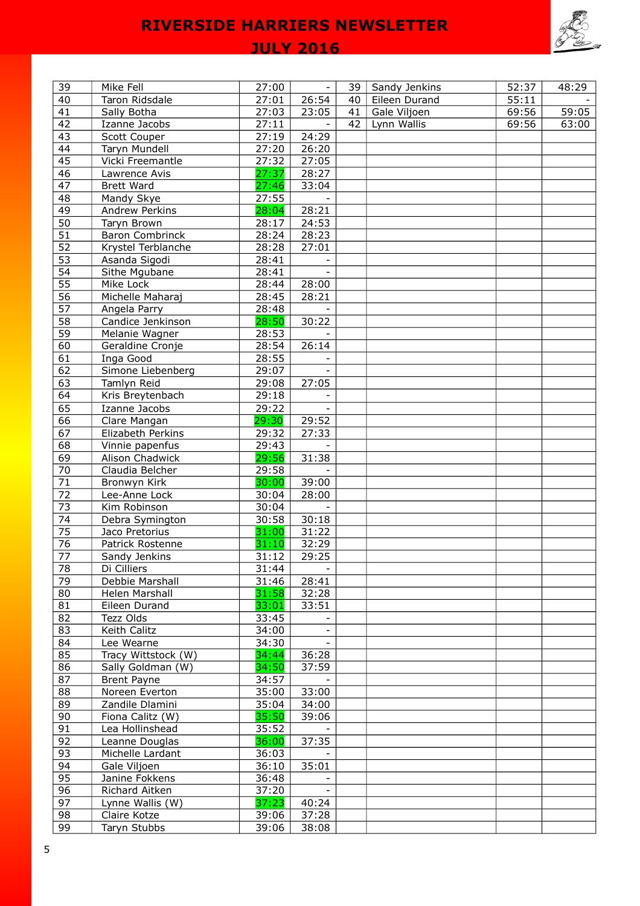

# **JULY 2016**

| 39              | Mike Fell              | 27:00 | $\blacksquare$           | 39 | Sandy Jenkins | 52:37 | 48:29 |
|-----------------|------------------------|-------|--------------------------|----|---------------|-------|-------|
| 40              | Taron Ridsdale         | 27:01 | 26:54                    | 40 | Eileen Durand | 55:11 |       |
| 41              | Sally Botha            | 27:03 | 23:05                    | 41 | Gale Viljoen  | 69:56 | 59:05 |
| 42              | Izanne Jacobs          | 27:11 |                          | 42 | Lynn Wallis   | 69:56 | 63:00 |
| 43              | Scott Couper           | 27:19 | 24:29                    |    |               |       |       |
| 44              | Taryn Mundell          | 27:20 | 26:20                    |    |               |       |       |
| 45              | Vicki Freemantle       | 27:32 | 27:05                    |    |               |       |       |
| 46              | Lawrence Avis          | 27:37 | 28:27                    |    |               |       |       |
| 47              | <b>Brett Ward</b>      | 27:46 | 33:04                    |    |               |       |       |
| 48              | Mandy Skye             | 27:55 |                          |    |               |       |       |
| 49              | Andrew Perkins         | 28:04 | 28:21                    |    |               |       |       |
| 50              | Taryn Brown            | 28:17 | 24:53                    |    |               |       |       |
| 51              | <b>Baron Combrinck</b> | 28:24 | 28:23                    |    |               |       |       |
| 52              | Krystel Terblanche     | 28:28 | 27:01                    |    |               |       |       |
| 53              | Asanda Sigodi          | 28:41 |                          |    |               |       |       |
| 54              | Sithe Mgubane          | 28:41 | $\sim$                   |    |               |       |       |
| 55              |                        |       |                          |    |               |       |       |
|                 | Mike Lock              | 28:44 | 28:00                    |    |               |       |       |
| 56              | Michelle Maharaj       | 28:45 | 28:21                    |    |               |       |       |
| 57              | Angela Parry           | 28:48 |                          |    |               |       |       |
| 58              | Candice Jenkinson      | 28:50 | 30:22                    |    |               |       |       |
| 59              | Melanie Wagner         | 28:53 |                          |    |               |       |       |
| 60              | Geraldine Cronje       | 28:54 | 26:14                    |    |               |       |       |
| 61              | Inga Good              | 28:55 |                          |    |               |       |       |
| 62              | Simone Liebenberg      | 29:07 |                          |    |               |       |       |
| 63              | Tamlyn Reid            | 29:08 | 27:05                    |    |               |       |       |
| 64              | Kris Breytenbach       | 29:18 |                          |    |               |       |       |
| 65              | Izanne Jacobs          | 29:22 |                          |    |               |       |       |
| 66              | Clare Mangan           | 29:30 | 29:52                    |    |               |       |       |
| 67              | Elizabeth Perkins      | 29:32 | 27:33                    |    |               |       |       |
| 68              | Vinnie papenfus        | 29:43 |                          |    |               |       |       |
| 69              | Alison Chadwick        | 29:56 | 31:38                    |    |               |       |       |
| 70              | Claudia Belcher        | 29:58 |                          |    |               |       |       |
| 71              | Bronwyn Kirk           | 30:00 | 39:00                    |    |               |       |       |
| 72              | Lee-Anne Lock          | 30:04 | 28:00                    |    |               |       |       |
| $\overline{73}$ | Kim Robinson           | 30:04 |                          |    |               |       |       |
| 74              | Debra Symington        | 30:58 | 30:18                    |    |               |       |       |
| $\overline{75}$ | Jaco Pretorius         | 31:00 | 31:22                    |    |               |       |       |
| 76              | Patrick Rostenne       | 31:10 | 32:29                    |    |               |       |       |
| 77              | Sandy Jenkins          | 31:12 | 29:25                    |    |               |       |       |
| 78              | Di Cilliers            | 31:44 | $\overline{\phantom{a}}$ |    |               |       |       |
| 79              | Debbie Marshall        | 31:46 | 28:41                    |    |               |       |       |
| 80              | Helen Marshall         | 31:58 | 32:28                    |    |               |       |       |
| 81              | Eileen Durand          | 33:01 | 33:51                    |    |               |       |       |
| 82              | Tezz Olds              | 33:45 |                          |    |               |       |       |
| 83              | Keith Calitz           | 34:00 |                          |    |               |       |       |
| 84              | Lee Wearne             | 34:30 |                          |    |               |       |       |
| 85              |                        | 34:44 |                          |    |               |       |       |
|                 | Tracy Wittstock (W)    | 34:50 | 36:28                    |    |               |       |       |
| 86              | Sally Goldman (W)      |       | 37:59                    |    |               |       |       |
| 87              | Brent Payne            | 34:57 |                          |    |               |       |       |
| 88              | Noreen Everton         | 35:00 | 33:00                    |    |               |       |       |
| 89              | Zandile Dlamini        | 35:04 | 34:00                    |    |               |       |       |
| 90              | Fiona Calitz (W)       | 35:50 | 39:06                    |    |               |       |       |
| 91              | Lea Hollinshead        | 35:52 |                          |    |               |       |       |
| 92              | Leanne Douglas         | 36:00 | 37:35                    |    |               |       |       |
| 93              | Michelle Lardant       | 36:03 |                          |    |               |       |       |
| 94              | Gale Viljoen           | 36:10 | 35:01                    |    |               |       |       |
| 95              | Janine Fokkens         | 36:48 |                          |    |               |       |       |
| 96              | Richard Aitken         | 37:20 |                          |    |               |       |       |
| 97              | Lynne Wallis (W)       | 37:23 | 40:24                    |    |               |       |       |
| 98              | Claire Kotze           | 39:06 | 37:28                    |    |               |       |       |
| 99              | Taryn Stubbs           | 39:06 | 38:08                    |    |               |       |       |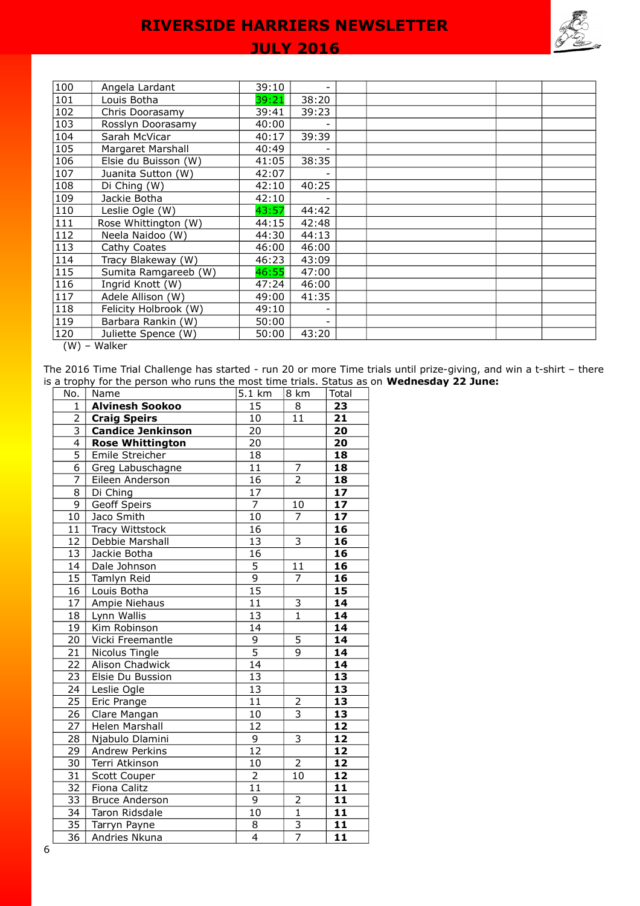# **JULY 2016**

| 100              | Angela Lardant        | 39:10 |       |  |  |  |
|------------------|-----------------------|-------|-------|--|--|--|
|                  |                       |       |       |  |  |  |
| 101              | Louis Botha           | 39:21 | 38:20 |  |  |  |
| 102              | Chris Doorasamy       | 39:41 | 39:23 |  |  |  |
| 103              | Rosslyn Doorasamy     | 40:00 |       |  |  |  |
| 104              | Sarah McVicar         | 40:17 | 39:39 |  |  |  |
| 105              | Margaret Marshall     | 40:49 |       |  |  |  |
| 106              | Elsie du Buisson (W)  | 41:05 | 38:35 |  |  |  |
| 107              | Juanita Sutton (W)    | 42:07 |       |  |  |  |
| 108              | Di Ching (W)          | 42:10 | 40:25 |  |  |  |
| 109              | Jackie Botha          | 42:10 |       |  |  |  |
| 110              | Leslie Ogle (W)       | 43:57 | 44:42 |  |  |  |
| $\overline{111}$ | Rose Whittington (W)  | 44:15 | 42:48 |  |  |  |
| 112              | Neela Naidoo (W)      | 44:30 | 44:13 |  |  |  |
| $\overline{113}$ | Cathy Coates          | 46:00 | 46:00 |  |  |  |
| 114              | Tracy Blakeway (W)    | 46:23 | 43:09 |  |  |  |
| $\overline{115}$ | Sumita Ramgareeb (W)  | 46:55 | 47:00 |  |  |  |
| 116              | Ingrid Knott (W)      | 47:24 | 46:00 |  |  |  |
| 117              | Adele Allison (W)     | 49:00 | 41:35 |  |  |  |
| 118              | Felicity Holbrook (W) | 49:10 |       |  |  |  |
| $\overline{119}$ | Barbara Rankin (W)    | 50:00 |       |  |  |  |
| 120              | Juliette Spence (W)   | 50:00 | 43:20 |  |  |  |
| (111)            | $M_{\odot}$           |       |       |  |  |  |

(W) – Walker

The 2016 Time Trial Challenge has started - run 20 or more Time trials until prize-giving, and win a t-shirt – there is a trophy for the person who runs the most time trials. Status as on **Wednesday 22 June:**

| No.                       | Name                     | 5.1 km          | 8 km                      | Total                    |
|---------------------------|--------------------------|-----------------|---------------------------|--------------------------|
| $\mathbf{1}$              | <b>Alvinesh Sookoo</b>   | $\overline{15}$ | 8                         | 23                       |
| $\overline{2}$            | <b>Craig Speirs</b>      | 10              | 11                        | 21                       |
| $\overline{\overline{3}}$ | <b>Candice Jenkinson</b> | 20              |                           | 20                       |
| $\overline{4}$            | <b>Rose Whittington</b>  | $\overline{20}$ |                           | 20                       |
| $\overline{5}$            | Emile Streicher          | 18              |                           | 18                       |
| $\overline{6}$            | Greg Labuschagne         | $\overline{11}$ | $\frac{7}{2}$             | 18                       |
| $\overline{7}$            | Eileen Anderson          | $\overline{16}$ |                           | 18                       |
| $\overline{8}$            | Di Ching                 | $\overline{17}$ |                           | $\overline{17}$          |
| $\overline{9}$            | Geoff Speirs             | $\overline{7}$  | $10\,$                    | 17                       |
| 10                        | Jaco Smith               | $\overline{10}$ | $\overline{7}$            | 17                       |
| 11                        | Tracy Wittstock          | $\overline{16}$ |                           | 16                       |
| 12                        | Debbie Marshall          | 13              | $\overline{\mathbf{3}}$   | $\overline{\mathbf{16}}$ |
| $\overline{13}$           | Jackie Botha             | $\overline{16}$ |                           | 16                       |
| 14                        | Dale Johnson             | $\overline{5}$  | 11                        | 16                       |
| 15                        | Tamlyn Reid              | $\overline{9}$  | $\overline{7}$            | 16                       |
| 16                        | Louis Botha              | 15              |                           | 15                       |
| 17                        | Ampie Niehaus            | $\overline{11}$ | $\overline{3}$            | 14                       |
| 18                        | Lynn Wallis              | 13              | $\overline{1}$            | 14                       |
| $\overline{19}$           | Kim Robinson             | 14              |                           | 14                       |
| 20                        | Vicki Freemantle         | $\overline{9}$  | $\overline{5}$            | 14                       |
| 21                        | Nicolus Tingle           | $\overline{5}$  | 9                         | $\overline{14}$          |
| 22                        | Alison Chadwick          | $\overline{14}$ |                           | 14                       |
| $\overline{23}$           | Elsie Du Bussion         | $\overline{13}$ |                           | $\overline{13}$          |
| 24                        | Leslie Ogle              | $\overline{13}$ |                           | $\overline{13}$          |
| 25                        | Eric Prange              | 11              | $\overline{2}$            | $\overline{13}$          |
| 26                        | Clare Mangan             | 10              | $\overline{\overline{3}}$ | 13                       |
| 27                        | Helen Marshall           | 12              |                           | 12                       |
| 28                        | Njabulo Dlamini          | $\overline{9}$  | $\overline{3}$            | 12                       |
| 29                        | Andrew Perkins           | $1\overline{2}$ |                           | 12                       |
| $\overline{30}$           | Terri Atkinson           | 10              | $\overline{2}$            | 12                       |
| $\overline{3}1$           | Scott Couper             | $\overline{2}$  | 10                        | 12                       |
| $\overline{32}$           | Fiona Calitz             | $\overline{11}$ |                           | $\overline{11}$          |
| $\overline{33}$           | <b>Bruce Anderson</b>    | $\overline{9}$  | $\overline{2}$            | 11                       |
| $\overline{34}$           | Taron Ridsdale           | $\overline{10}$ | $\overline{1}$            | $\overline{11}$          |
| $\overline{35}$           | Tarryn Payne             | $\overline{8}$  | $\frac{3}{7}$             | $\overline{11}$          |
| $\overline{36}$           | Andries Nkuna            | $\overline{4}$  |                           | $\overline{11}$          |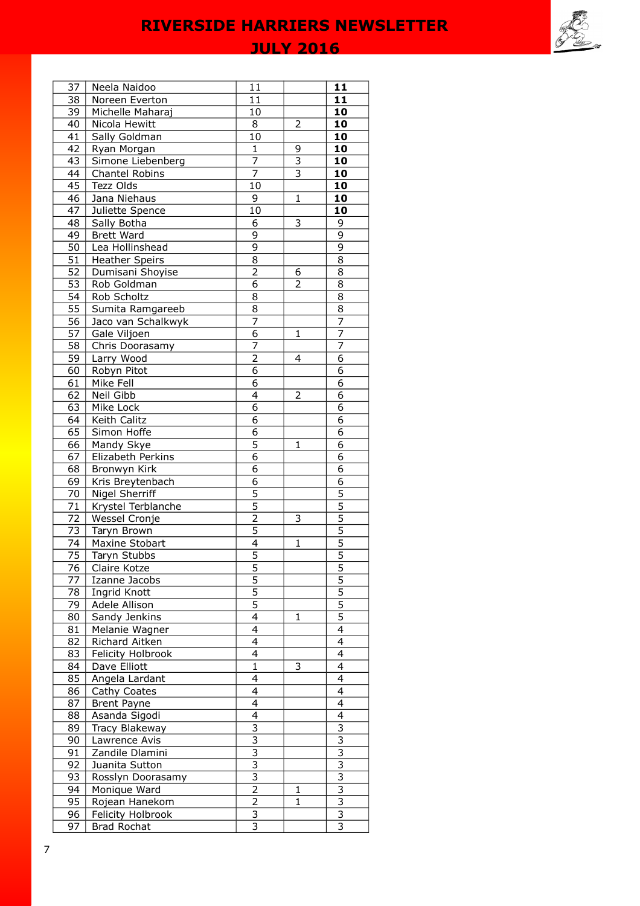**JULY 2016** 

| 37              | Neela Naidoo                       | 11                        |                           | 11                        |
|-----------------|------------------------------------|---------------------------|---------------------------|---------------------------|
| 38              | Noreen Everton                     | 11                        |                           | 11                        |
| 39              | Michelle Maharaj                   | 10                        |                           | 10                        |
| 40              | Nicola Hewitt                      | 8                         | 2                         | 10                        |
| 41              | Sally Goldman                      | 10                        |                           | 10                        |
| 42              | Ryan Morgan                        | $\mathbf{1}$              | 9                         | 10                        |
| 43              | Simone Liebenberg                  | $\overline{7}$            | $\overline{\mathbf{3}}$   | 10                        |
| 44              | Chantel Robins                     | $\overline{7}$            | $\overline{\overline{3}}$ | 10                        |
| 45              | Tezz Olds                          | 10                        |                           | 10                        |
| 46              | Jana Niehaus                       | 9                         | 1                         | 10                        |
| 47              | Juliette Spence                    | 10                        |                           | 10                        |
| 48              | Sally Botha                        | 6                         | 3                         | 9                         |
| 49              | <b>Brett Ward</b>                  | 9                         |                           | $\overline{9}$            |
| 50              | Lea Hollinshead                    | 9                         |                           | 9                         |
| 51              | <b>Heather Speirs</b>              | 8                         |                           | 8                         |
| 52<br>53        | Dumisani Shoyise                   | 2<br>$\overline{6}$       | 6<br>2                    | 8                         |
| $\overline{54}$ | Rob Goldman<br>Rob Scholtz         | 8                         |                           | 8<br>8                    |
| 55              |                                    | $\overline{8}$            |                           | $\overline{8}$            |
| 56              | Sumita Ramgareeb                   | 7                         |                           | 7                         |
| 57              | Jaco van Schalkwyk<br>Gale Viljoen | $\overline{6}$            | 1                         | $\overline{7}$            |
| 58              | Chris Doorasamy                    | $\overline{7}$            |                           | 7                         |
| 59              | Larry Wood                         | $\overline{2}$            | 4                         | 6                         |
| 60              | Robyn Pitot                        | 6                         |                           | 6                         |
| 61              | Mike Fell                          | 6                         |                           | 6                         |
| 62              | Neil Gibb                          | $\overline{\mathcal{L}}$  | 2                         | 6                         |
| 63              | Mike Lock                          | 6                         |                           | 6                         |
| 64              | Keith Calitz                       | 6                         |                           | 6                         |
| 65              | Simon Hoffe                        | $\overline{6}$            |                           | 6                         |
| 66              | Mandy Skye                         | $\overline{5}$            | 1                         | $\overline{6}$            |
| 67              | Elizabeth Perkins                  | $\overline{6}$            |                           | 6                         |
| 68              | Bronwyn Kirk                       | $\overline{6}$            |                           | $\overline{6}$            |
| 69              | Kris Breytenbach                   | 6                         |                           | 6                         |
| 70              | Nigel Sherriff                     | 5                         |                           | $\overline{5}$            |
| 71              | Krystel Terblanche                 | 5                         |                           | 5                         |
| 72              | Wessel Cronje                      | $\overline{c}$            | 3                         | $\overline{5}$            |
| 73              | Taryn Brown                        | $\overline{5}$            |                           | $\overline{5}$            |
| 74              | Maxine Stobart                     | 4                         | 1                         | $\overline{5}$            |
| 75              | Taryn Stubbs                       | $\overline{5}$            |                           | $\overline{5}$            |
| 76              | Claire Kotze                       | <u>5</u>                  |                           | <u>5</u>                  |
| 77              | Izanne Jacobs                      | 5                         |                           | $\overline{5}$            |
| 78              | Ingrid Knott                       | 5                         |                           | $\overline{5}$            |
| 79              | Adele Allison                      | $\overline{5}$            |                           | $\overline{5}$            |
| 80              | Sandy Jenkins                      | $\overline{\mathcal{L}}$  | $\mathbf{1}$              | $\overline{5}$            |
| 81              | Melanie Wagner                     | $\overline{4}$            |                           | 4                         |
| 82              | Richard Aitken                     | $\overline{\mathbf{4}}$   |                           | 4                         |
| 83              | Felicity Holbrook                  | $\overline{\mathcal{L}}$  |                           | 4                         |
| 84              | Dave Elliott                       | $\mathbf{1}$              | 3                         | 4                         |
| 85              | Angela Lardant                     | 4                         |                           | 4                         |
| 86              | Cathy Coates                       | $\overline{\mathcal{L}}$  |                           | 4                         |
| 87              | <b>Brent Payne</b>                 | $\overline{\mathcal{L}}$  |                           | 4                         |
| 88              | Asanda Sigodi                      | $\overline{4}$            |                           | 4                         |
| 89              | <b>Tracy Blakeway</b>              | 3                         |                           | 3                         |
| 90              | Lawrence Avis                      | $\overline{\overline{3}}$ |                           | $\overline{\overline{3}}$ |
| 91              | Zandile Dlamini                    | $\overline{\overline{3}}$ |                           | $\overline{3}$            |
| 92              | Juanita Sutton                     | $\overline{\overline{3}}$ |                           | $\overline{\overline{3}}$ |
| 93              | Rosslyn Doorasamy                  | 3                         |                           | $\overline{3}$            |
| 94              | Monique Ward                       | $\overline{2}$            | 1                         | $\overline{\mathbf{3}}$   |
| 95              | Rojean Hanekom                     | 2                         | 1                         | $\overline{\overline{3}}$ |
| 96              | Felicity Holbrook                  | 3                         |                           | 3                         |
| 97              | <b>Brad Rochat</b>                 | $\overline{3}$            |                           | 3                         |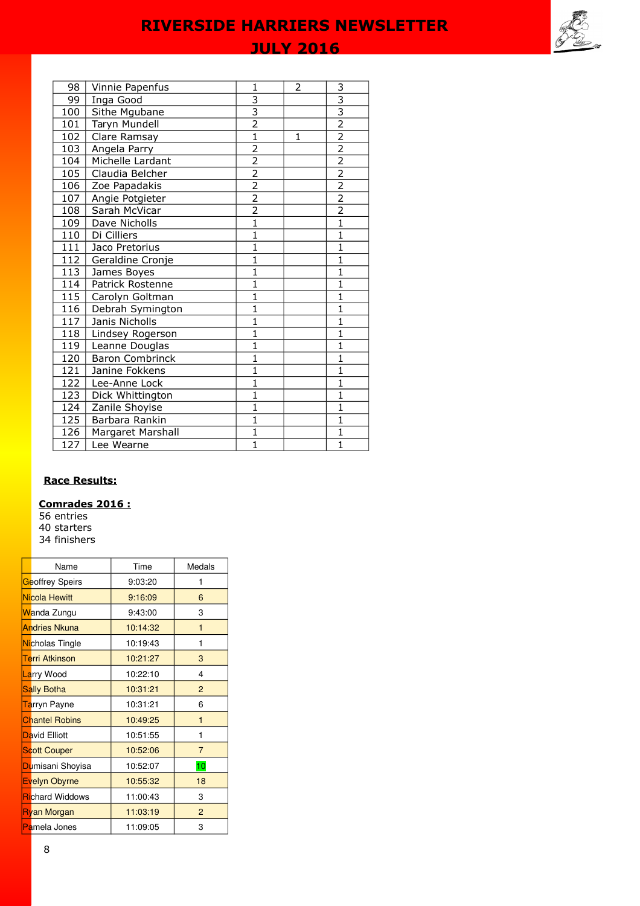# **JULY 2016**

| 98  | Vinnie Papenfus        | 1              | 2 | 3                         |
|-----|------------------------|----------------|---|---------------------------|
| 99  | Inga Good              | $\overline{3}$ |   | $\overline{\overline{3}}$ |
| 100 | Sithe Mgubane          | $\frac{3}{2}$  |   | $\overline{\overline{3}}$ |
| 101 | Taryn Mundell          |                |   | $\overline{2}$            |
| 102 | Clare Ramsay           | $\overline{1}$ | 1 | $\overline{2}$            |
| 103 | Angela Parry           | $\overline{2}$ |   | $\overline{2}$            |
| 104 | Michelle Lardant       | $\overline{2}$ |   | $\overline{2}$            |
| 105 | Claudia Belcher        | $\overline{2}$ |   | $\overline{2}$            |
| 106 | Zoe Papadakis          | $\overline{2}$ |   | $\overline{2}$            |
| 107 | Angie Potgieter        | $\overline{2}$ |   | $\overline{2}$            |
| 108 | Sarah McVicar          | $\overline{2}$ |   | $\overline{2}$            |
| 109 | Dave Nicholls          | $\overline{1}$ |   | $\overline{1}$            |
| 110 | Di Cilliers            | $\overline{1}$ |   | $\overline{1}$            |
| 111 | Jaco Pretorius         | $\overline{1}$ |   | $\overline{1}$            |
| 112 | Geraldine Cronje       | $\overline{1}$ |   | $\overline{1}$            |
| 113 | James Boyes            | $\mathbf{1}$   |   | $\mathbf{1}$              |
| 114 | Patrick Rostenne       | $\mathbf{1}$   |   | $\overline{1}$            |
| 115 | Carolyn Goltman        | $\mathbf{1}$   |   | $\mathbf{1}$              |
| 116 | Debrah Symington       | $\mathbf{1}$   |   | $\overline{1}$            |
| 117 | Janis Nicholls         | $\mathbf{1}$   |   | $\overline{1}$            |
| 118 | Lindsey Rogerson       | $\mathbf{1}$   |   | $\overline{\mathbf{1}}$   |
| 119 | Leanne Douglas         | $\mathbf{1}$   |   | $\mathbf{1}$              |
| 120 | <b>Baron Combrinck</b> | $\mathbf{1}$   |   | $\overline{1}$            |
| 121 | Janine Fokkens         | $\mathbf{1}$   |   | $\mathbf{1}$              |
| 122 | Lee-Anne Lock          | $\mathbf{1}$   |   | $\overline{1}$            |
| 123 | Dick Whittington       | 1              |   | $\overline{1}$            |
| 124 | Zanile Shoyise         | $\mathbf{1}$   |   | $\mathbf{1}$              |
| 125 | Barbara Rankin         | $\overline{1}$ |   | $\overline{1}$            |
| 126 | Margaret Marshall      | $\mathbf{1}$   |   | $\mathbf{1}$              |
| 127 | Lee Wearne             | $\overline{1}$ |   | $\overline{1}$            |

# **Race Results:**

## **Comrades 2016 :**

56 entries 40 starters 34 finishers

| Name                      | Time     | Medals         |
|---------------------------|----------|----------------|
| Geoffrey Speirs           | 9:03:20  | 1              |
| Nicola Hewitt             | 9:16:09  | 6              |
| <mark>W</mark> anda Zungu | 9:43:00  | 3              |
| <b>Andries Nkuna</b>      | 10:14:32 | $\mathbf{1}$   |
| Nicholas Tingle           | 10:19:43 | 1              |
| Terri Atkinson            | 10:21:27 | 3              |
| Larry Wood                | 10:22:10 | 4              |
| <b>Sally Botha</b>        | 10:31:21 | $\overline{2}$ |
| Tarryn Payne              | 10:31:21 | 6              |
| <b>Chantel Robins</b>     | 10:49:25 | $\mathbf{1}$   |
| David Elliott             | 10:51:55 | 1              |
| <b>Scott Couper</b>       | 10:52:06 | $\overline{7}$ |
| Dumisani Shoyisa          | 10:52:07 | 10             |
| Evelyn Obyrne             | 10:55:32 | 18             |
| <b>Richard Widdows</b>    | 11:00:43 | 3              |
| <b>Ryan Morgan</b>        | 11:03:19 | $\overline{2}$ |
| Pamela Jones              | 11:09:05 | 3              |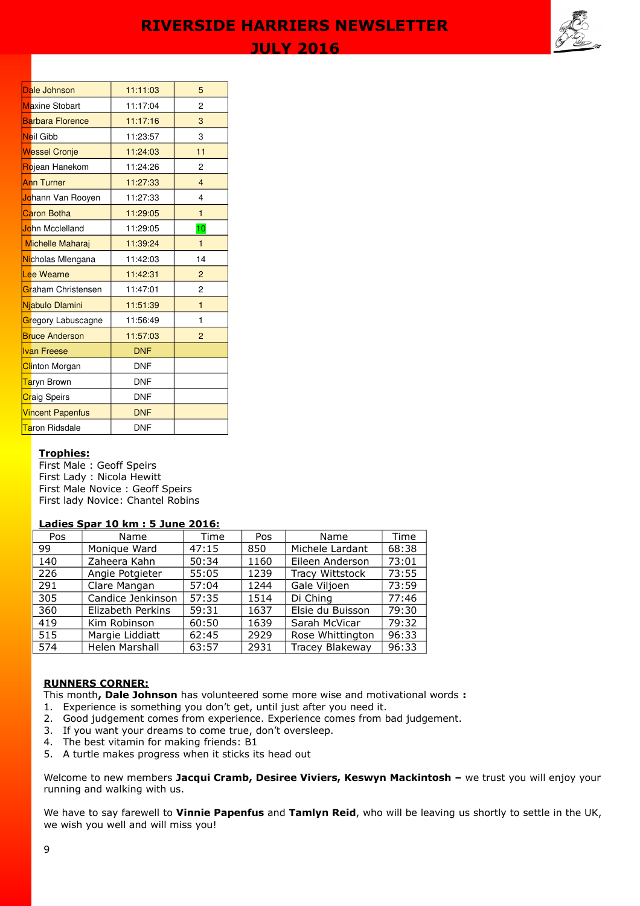

| Dale Johnson              | 11:11:03   | 5              |
|---------------------------|------------|----------------|
| <b>Maxine Stobart</b>     | 11:17:04   | 2              |
| <b>Barbara Florence</b>   | 11:17:16   | 3              |
| Neil Gibb                 | 11:23:57   | 3              |
| <b>Wessel Cronje</b>      | 11:24:03   | 11             |
| Rojean Hanekom            | 11:24:26   | 2              |
| <b>Ann Turner</b>         | 11:27:33   | $\overline{4}$ |
| Johann Van Rooyen         | 11:27:33   | 4              |
| <b>Caron Botha</b>        | 11:29:05   | $\mathbf{1}$   |
| John Mcclelland           | 11:29:05   | 10             |
| <b>Michelle Maharaj</b>   | 11:39:24   | $\mathbf{1}$   |
| Nicholas Mlengana         | 11:42:03   | 14             |
| Lee Wearne                | 11:42:31   | $\overline{2}$ |
| Graham Christensen        | 11:47:01   | 2              |
| Njabulo Dlamini           | 11:51:39   | $\mathbf{1}$   |
| Gregory Labuscagne        | 11:56:49   | 1              |
| <b>Bruce Anderson</b>     | 11:57:03   | $\overline{2}$ |
| <b>Ivan Freese</b>        | <b>DNF</b> |                |
| Clinton Morgan            | <b>DNF</b> |                |
| <mark>Ta</mark> ryn Brown | <b>DNF</b> |                |
| <b>Craig Speirs</b>       | <b>DNF</b> |                |
| <b>Vincent Papenfus</b>   | <b>DNF</b> |                |
| Taron Ridsdale            | <b>DNF</b> |                |

### **Trophies:**

First Male : Geoff Speirs First Lady : Nicola Hewitt First Male Novice : Geoff Speirs First lady Novice: Chantel Robins

# **Ladies Spar 10 km : 5 June 2016:**

| Pos | Name              | Time  | Pos  | Name                   | Time  |
|-----|-------------------|-------|------|------------------------|-------|
| 99  | Monique Ward      | 47:15 | 850  | Michele Lardant        | 68:38 |
| 140 | Zaheera Kahn      | 50:34 | 1160 | Eileen Anderson        | 73:01 |
| 226 | Angie Potgieter   | 55:05 | 1239 | <b>Tracy Wittstock</b> | 73:55 |
| 291 | Clare Mangan      | 57:04 | 1244 | Gale Viljoen           | 73:59 |
| 305 | Candice Jenkinson | 57:35 | 1514 | Di Ching               | 77:46 |
| 360 | Elizabeth Perkins | 59:31 | 1637 | Elsie du Buisson       | 79:30 |
| 419 | Kim Robinson      | 60:50 | 1639 | Sarah McVicar          | 79:32 |
| 515 | Margie Liddiatt   | 62:45 | 2929 | Rose Whittington       | 96:33 |
| 574 | Helen Marshall    | 63:57 | 2931 | Tracey Blakeway        | 96:33 |

# **RUNNERS CORNER:**

This month**, Dale Johnson** has volunteered some more wise and motivational words **:** 

- 1. Experience is something you don't get, until just after you need it.
- 2. Good judgement comes from experience. Experience comes from bad judgement.
- 3. If you want your dreams to come true, don't oversleep.
- 4. The best vitamin for making friends: B1
- 5. A turtle makes progress when it sticks its head out

Welcome to new members **Jacqui Cramb, Desiree Viviers, Keswyn Mackintosh –** we trust you will enjoy your running and walking with us.

We have to say farewell to **Vinnie Papenfus** and **Tamlyn Reid**, who will be leaving us shortly to settle in the UK, we wish you well and will miss you!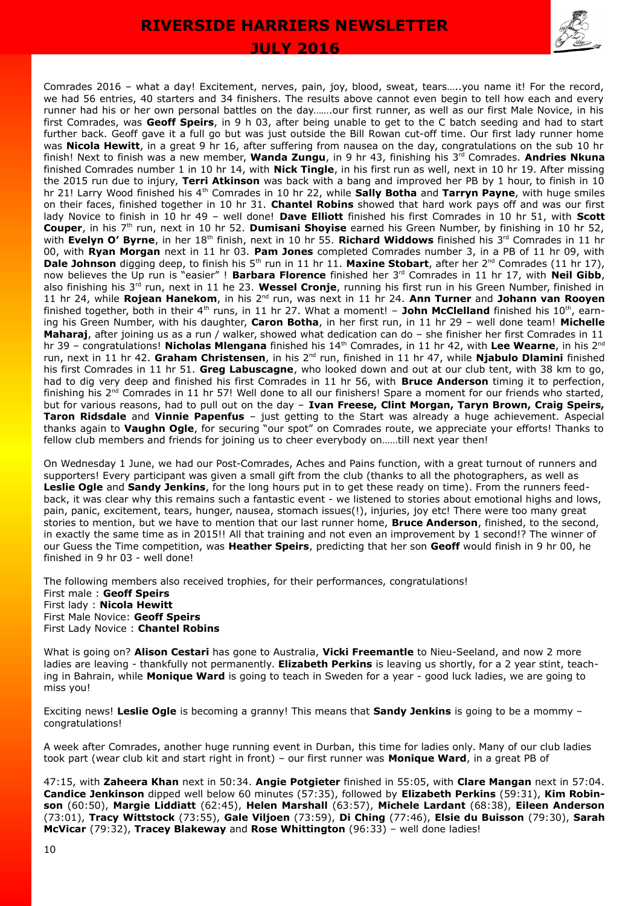

Comrades 2016 – what a day! Excitement, nerves, pain, joy, blood, sweat, tears…..you name it! For the record, we had 56 entries, 40 starters and 34 finishers. The results above cannot even begin to tell how each and every runner had his or her own personal battles on the day…….our first runner, as well as our first Male Novice, in his first Comrades, was **Geoff Speirs**, in 9 h 03, after being unable to get to the C batch seeding and had to start further back. Geoff gave it a full go but was just outside the Bill Rowan cut-off time. Our first lady runner home was **Nicola Hewitt**, in a great 9 hr 16, after suffering from nausea on the day, congratulations on the sub 10 hr finish! Next to finish was a new member, **Wanda Zungu**, in 9 hr 43, finishing his 3<sup>rd</sup> Comrades. **Andries Nkuna** finished Comrades number 1 in 10 hr 14, with **Nick Tingle**, in his first run as well, next in 10 hr 19. After missing the 2015 run due to injury, **Terri Atkinson** was back with a bang and improved her PB by 1 hour, to finish in 10 hr 21! Larry Wood finished his 4th Comrades in 10 hr 22, while **Sally Botha** and **Tarryn Payne**, with huge smiles on their faces, finished together in 10 hr 31. **Chantel Robins** showed that hard work pays off and was our first lady Novice to finish in 10 hr 49 – well done! **Dave Elliott** finished his first Comrades in 10 hr 51, with **Scott Couper**, in his 7<sup>th</sup> run, next in 10 hr 52. **Dumisani Shoyise** earned his Green Number, by finishing in 10 hr 52, with **Evelyn O' Byrne**, in her 18<sup>th</sup> finish, next in 10 hr 55. **Richard Widdows** finished his 3<sup>rd</sup> Comrades in 11 hr 00, with **Ryan Morgan** next in 11 hr 03. **Pam Jones** completed Comrades number 3, in a PB of 11 hr 09, with Dale Johnson digging deep, to finish his 5<sup>th</sup> run in 11 hr 11. Maxine Stobart, after her 2<sup>nd</sup> Comrades (11 hr 17), now believes the Up run is "easier" ! **Barbara Florence** finished her 3<sup>rd</sup> Comrades in 11 hr 17, with **Neil Gibb**, also finishing his 3rd run, next in 11 he 23. **Wessel Cronje**, running his first run in his Green Number, finished in 11 hr 24, while **Rojean Hanekom**, in his 2nd run, was next in 11 hr 24. **Ann Turner** and **Johann van Rooyen** finished together, both in their  $4<sup>th</sup>$  runs, in 11 hr 27. What a moment! – **John McClelland** finished his  $10<sup>th</sup>$ , earning his Green Number, with his daughter, **Caron Botha**, in her first run, in 11 hr 29 – well done team! **Michelle Maharaj**, after joining us as a run / walker, showed what dedication can do – she finisher her first Comrades in 11 hr 39 – congratulations! **Nicholas Mlengana** finished his 14<sup>th</sup> Comrades, in 11 hr 42, with Lee Wearne, in his 2<sup>nd</sup> run, next in 11 hr 42. Graham Christensen, in his 2<sup>nd</sup> run, finished in 11 hr 47, while Njabulo Dlamini finished his first Comrades in 11 hr 51. **Greg Labuscagne**, who looked down and out at our club tent, with 38 km to go, had to dig very deep and finished his first Comrades in 11 hr 56, with **Bruce Anderson** timing it to perfection, finishing his  $2^{nd}$  Comrades in 11 hr 57! Well done to all our finishers! Spare a moment for our friends who started, but for various reasons, had to pull out on the day – **Ivan Freese, Clint Morgan, Taryn Brown, Craig Speirs, Taron Ridsdale** and **Vinnie Papenfus** – just getting to the Start was already a huge achievement. Aspecial thanks again to **Vaughn Ogle**, for securing "our spot" on Comrades route, we appreciate your efforts! Thanks to fellow club members and friends for joining us to cheer everybody on……till next year then!

On Wednesday 1 June, we had our Post-Comrades, Aches and Pains function, with a great turnout of runners and supporters! Every participant was given a small gift from the club (thanks to all the photographers, as well as **Leslie Ogle** and **Sandy Jenkins**, for the long hours put in to get these ready on time). From the runners feedback, it was clear why this remains such a fantastic event - we listened to stories about emotional highs and lows, pain, panic, excitement, tears, hunger, nausea, stomach issues(!), injuries, joy etc! There were too many great stories to mention, but we have to mention that our last runner home, **Bruce Anderson**, finished, to the second, in exactly the same time as in 2015!! All that training and not even an improvement by 1 second!? The winner of our Guess the Time competition, was **Heather Speirs**, predicting that her son **Geoff** would finish in 9 hr 00, he finished in 9 hr 03 - well done!

The following members also received trophies, for their performances, congratulations! First male : **Geoff Speirs** First lady : **Nicola Hewitt** First Male Novice: **Geoff Speirs** First Lady Novice : **Chantel Robins**

What is going on? **Alison Cestari** has gone to Australia, **Vicki Freemantle** to Nieu-Seeland, and now 2 more ladies are leaving - thankfully not permanently. **Elizabeth Perkins** is leaving us shortly, for a 2 year stint, teaching in Bahrain, while **Monique Ward** is going to teach in Sweden for a year - good luck ladies, we are going to miss you!

Exciting news! **Leslie Ogle** is becoming a granny! This means that **Sandy Jenkins** is going to be a mommy – congratulations!

A week after Comrades, another huge running event in Durban, this time for ladies only. Many of our club ladies took part (wear club kit and start right in front) – our first runner was **Monique Ward**, in a great PB of

47:15, with **Zaheera Khan** next in 50:34. **Angie Potgieter** finished in 55:05, with **Clare Mangan** next in 57:04. **Candice Jenkinson** dipped well below 60 minutes (57:35), followed by **Elizabeth Perkins** (59:31), **Kim Robinson** (60:50), **Margie Liddiatt** (62:45), **Helen Marshall** (63:57), **Michele Lardant** (68:38), **Eileen Anderson** (73:01), **Tracy Wittstock** (73:55), **Gale Viljoen** (73:59), **Di Ching** (77:46), **Elsie du Buisson** (79:30), **Sarah McVicar** (79:32), **Tracey Blakeway** and **Rose Whittington** (96:33) – well done ladies!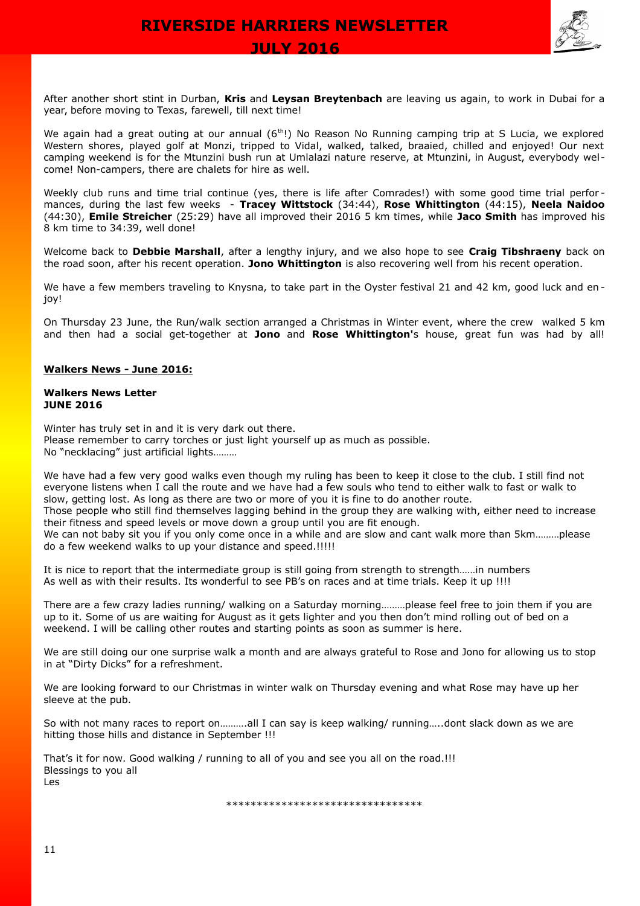

After another short stint in Durban, **Kris** and **Leysan Breytenbach** are leaving us again, to work in Dubai for a year, before moving to Texas, farewell, till next time!

We again had a great outing at our annual (6<sup>th</sup>!) No Reason No Running camping trip at S Lucia, we explored Western shores, played golf at Monzi, tripped to Vidal, walked, talked, braaied, chilled and enjoyed! Our next camping weekend is for the Mtunzini bush run at Umlalazi nature reserve, at Mtunzini, in August, everybody welcome! Non-campers, there are chalets for hire as well.

Weekly club runs and time trial continue (yes, there is life after Comrades!) with some good time trial performances, during the last few weeks - **Tracey Wittstock** (34:44), **Rose Whittington** (44:15), **Neela Naidoo** (44:30), **Emile Streicher** (25:29) have all improved their 2016 5 km times, while **Jaco Smith** has improved his 8 km time to 34:39, well done!

Welcome back to **Debbie Marshall**, after a lengthy injury, and we also hope to see **Craig Tibshraeny** back on the road soon, after his recent operation. **Jono Whittington** is also recovering well from his recent operation.

We have a few members traveling to Knysna, to take part in the Oyster festival 21 and 42 km, good luck and enjoy!

On Thursday 23 June, the Run/walk section arranged a Christmas in Winter event, where the crew walked 5 km and then had a social get-together at **Jono** and **Rose Whittington'**s house, great fun was had by all!

## **Walkers News - June 2016:**

### **Walkers News Letter JUNE 2016**

Winter has truly set in and it is very dark out there. Please remember to carry torches or just light yourself up as much as possible. No "necklacing" just artificial lights………

We have had a few very good walks even though my ruling has been to keep it close to the club. I still find not everyone listens when I call the route and we have had a few souls who tend to either walk to fast or walk to slow, getting lost. As long as there are two or more of you it is fine to do another route. Those people who still find themselves lagging behind in the group they are walking with, either need to increase their fitness and speed levels or move down a group until you are fit enough. We can not baby sit you if you only come once in a while and are slow and cant walk more than 5km.........please do a few weekend walks to up your distance and speed.!!!!!

It is nice to report that the intermediate group is still going from strength to strength……in numbers As well as with their results. Its wonderful to see PB's on races and at time trials. Keep it up !!!!

There are a few crazy ladies running/ walking on a Saturday morning………please feel free to join them if you are up to it. Some of us are waiting for August as it gets lighter and you then don't mind rolling out of bed on a weekend. I will be calling other routes and starting points as soon as summer is here.

We are still doing our one surprise walk a month and are always grateful to Rose and Jono for allowing us to stop in at "Dirty Dicks" for a refreshment.

We are looking forward to our Christmas in winter walk on Thursday evening and what Rose may have up her sleeve at the pub.

So with not many races to report on……….all I can say is keep walking/ running…..dont slack down as we are hitting those hills and distance in September !!!

That's it for now. Good walking / running to all of you and see you all on the road.!!! Blessings to you all Les

\*\*\*\*\*\*\*\*\*\*\*\*\*\*\*\*\*\*\*\*\*\*\*\*\*\*\*\*\*\*\*\*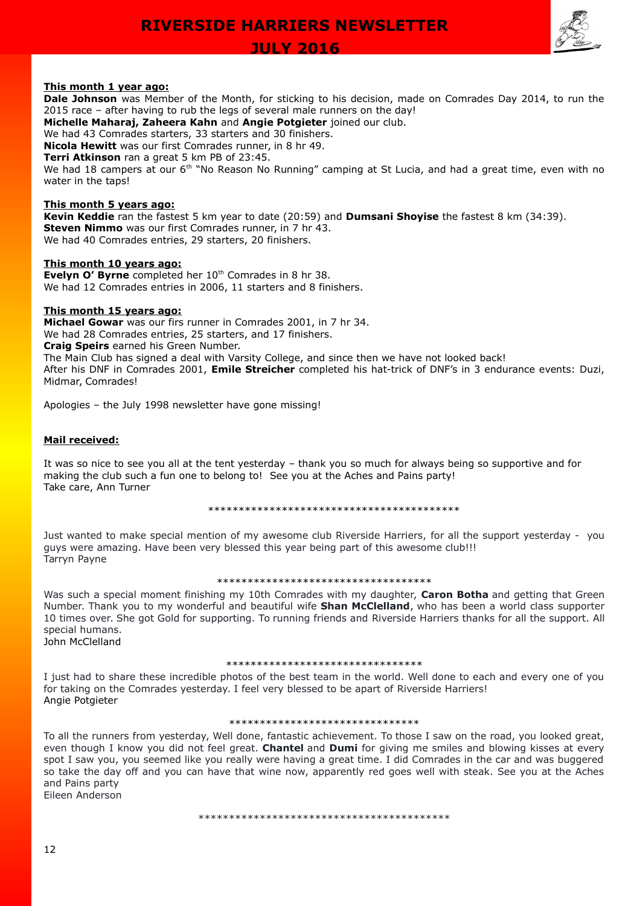

# **This month 1 year ago:**

**Dale Johnson** was Member of the Month, for sticking to his decision, made on Comrades Day 2014, to run the 2015 race – after having to rub the legs of several male runners on the day!

**Michelle Maharaj, Zaheera Kahn** and **Angie Potgieter** joined our club.

We had 43 Comrades starters, 33 starters and 30 finishers.

**Nicola Hewitt** was our first Comrades runner, in 8 hr 49.

**Terri Atkinson** ran a great 5 km PB of 23:45.

We had 18 campers at our 6<sup>th</sup> "No Reason No Running" camping at St Lucia, and had a great time, even with no water in the taps!

### **This month 5 years ago:**

**Kevin Keddie** ran the fastest 5 km year to date (20:59) and **Dumsani Shoyise** the fastest 8 km (34:39). **Steven Nimmo** was our first Comrades runner, in 7 hr 43. We had 40 Comrades entries, 29 starters, 20 finishers.

## **This month 10 years ago:**

**Evelyn O' Byrne** completed her 10<sup>th</sup> Comrades in 8 hr 38. We had 12 Comrades entries in 2006, 11 starters and 8 finishers.

### **This month 15 years ago:**

**Michael Gowar** was our firs runner in Comrades 2001, in 7 hr 34. We had 28 Comrades entries, 25 starters, and 17 finishers. **Craig Speirs** earned his Green Number. The Main Club has signed a deal with Varsity College, and since then we have not looked back! After his DNF in Comrades 2001, **Emile Streicher** completed his hat-trick of DNF's in 3 endurance events: Duzi, Midmar, Comrades!

Apologies – the July 1998 newsletter have gone missing!

### **Mail received:**

It was so nice to see you all at the tent yesterday – thank you so much for always being so supportive and for making the club such a fun one to belong to! See you at the Aches and Pains party! Take care, Ann Turner

#### \*\*\*\*\*\*\*\*\*\*\*\*\*\*\*\*\*\*\*\*\*\*\*\*\*\*\*\*\*\*\*\*\*\*\*\*\*\*\*\*\*

Just wanted to make special mention of my awesome club Riverside Harriers, for all the support yesterday - you guys were amazing. Have been very blessed this year being part of this awesome club!!! Tarryn Payne

#### \*\*\*\*\*\*\*\*\*\*\*\*\*\*\*\*\*\*\*\*\*\*\*\*\*\*\*\*\*\*\*\*\*\*\*

Was such a special moment finishing my 10th Comrades with my daughter, **Caron Botha** and getting that Green Number. Thank you to my wonderful and beautiful wife **Shan McClelland**, who has been a world class supporter 10 times over. She got Gold for supporting. To running friends and Riverside Harriers thanks for all the support. All special humans. John McClelland

#### \*\*\*\*\*\*\*\*\*\*\*\*\*\*\*\*\*\*\*\*\*\*\*\*\*\*\*\*\*

I just had to share these incredible photos of the best team in the world. Well done to each and every one of you for taking on the Comrades yesterday. I feel very blessed to be apart of Riverside Harriers! Angie Potgieter

#### \*\*\*\*\*\*\*\*\*\*\*\*\*\*\*\*\*\*\*\*\*\*\*\*\*\*\*\*\*\*\*

To all the runners from yesterday, Well done, fantastic achievement. To those I saw on the road, you looked great, even though I know you did not feel great. **Chantel** and **Dumi** for giving me smiles and blowing kisses at every spot I saw you, you seemed like you really were having a great time. I did Comrades in the car and was buggered so take the day off and you can have that wine now, apparently red goes well with steak. See you at the Aches and Pains party Eileen Anderson

\*\*\*\*\*\*\*\*\*\*\*\*\*\*\*\*\*\*\*\*\*\*\*\*\*\*\*\*\*\*\*\*\*\*\*\*\*\*\*\*\*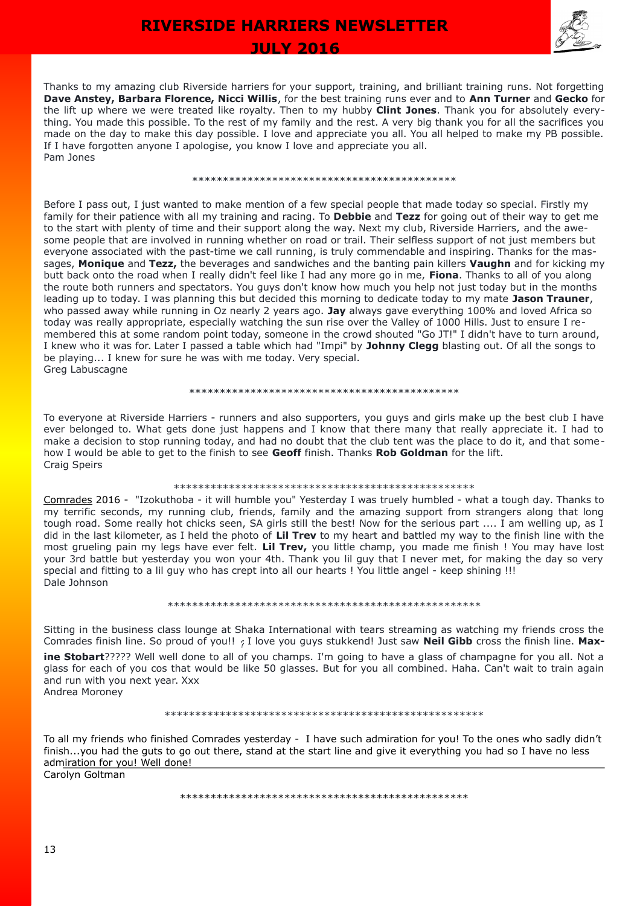

 **JULY 2016** 

Thanks to my amazing club Riverside harriers for your support, training, and brilliant training runs. Not forgetting **Dave Anstey, Barbara Florence, Nicci Willis**, for the best training runs ever and to **Ann Turner** and **Gecko** for the lift up where we were treated like royalty. Then to my hubby **Clint Jones**. Thank you for absolutely everything. You made this possible. To the rest of my family and the rest. A very big thank you for all the sacrifices you made on the day to make this day possible. I love and appreciate you all. You all helped to make my PB possible. If I have forgotten anyone I apologise, you know I love and appreciate you all. Pam Jones

#### \*\*\*\*\*\*\*\*\*\*\*\*\*\*\*\*\*\*\*\*\*\*\*\*\*\*\*\*\*\*\*\*\*\*\*\*\*\*\*\*\*\*\*

Before I pass out, I just wanted to make mention of a few special people that made today so special. Firstly my family for their patience with all my training and racing. To **Debbie** and **Tezz** for going out of their way to get me to the start with plenty of time and their support along the way. Next my club, Riverside Harriers, and the awesome people that are involved in running whether on road or trail. Their selfless support of not just members but everyone associated with the past-time we call running, is truly commendable and inspiring. Thanks for the massages, **Monique** and **Tezz,** the beverages and sandwiches and the banting pain killers **Vaughn** and for kicking my butt back onto the road when I really didn't feel like I had any more go in me, **Fiona**. Thanks to all of you along the route both runners and spectators. You guys don't know how much you help not just today but in the months leading up to today. I was planning this but decided this morning to dedicate today to my mate **Jason Trauner**, who passed away while running in Oz nearly 2 years ago. **Jay** always gave everything 100% and loved Africa so today was really appropriate, especially watching the sun rise over the Valley of 1000 Hills. Just to ensure I remembered this at some random point today, someone in the crowd shouted "Go JT!" I didn't have to turn around, I knew who it was for. Later I passed a table which had "Impi" by **Johnny Clegg** blasting out. Of all the songs to be playing... I knew for sure he was with me today. Very special. Greg Labuscagne

#### \*\*\*\*\*\*\*\*\*\*\*\*\*\*\*\*\*\*\*\*\*\*\*\*\*\*\*\*\*\*\*\*\*\*\*\*\*\*\*\*\*\*\*\*

To everyone at Riverside Harriers - runners and also supporters, you guys and girls make up the best club I have ever belonged to. What gets done just happens and I know that there many that really appreciate it. I had to make a decision to stop running today, and had no doubt that the club tent was the place to do it, and that somehow I would be able to get to the finish to see **Geoff** finish. Thanks **Rob Goldman** for the lift. Craig Speirs

#### \*\*\*\*\*\*\*\*\*\*\*\*\*\*\*\*\*\*\*\*\*\*\*\*\*\*\*\*\*\*\*\*\*\*\*\*\*\*\*\*\*\*\*\*\*\*\*\*\*

[Comrades](https://www.facebook.com/hashtag/comrades2016?source=feed_text&story_id=10206843951280753) 2016 - "Izokuthoba - it will humble you" Yesterday I was truely humbled - what a tough day. Thanks to my terrific seconds, my running club, friends, family and the amazing support from strangers along that long tough road. Some really hot chicks seen, SA girls still the best! Now for the serious part .... I am welling up, as I did in the last kilometer, as I held the photo of **Lil Trev** to my heart and battled my way to the finish line with the most grueling pain my legs have ever felt. **Lil Trev,** you little champ, you made me finish ! You may have lost your 3rd battle but yesterday you won your 4th. Thank you lil guy that I never met, for making the day so very special and fitting to a lil guy who has crept into all our hearts ! You little angel - keep shining !!! Dale Johnson

#### \*\*\*\*\*\*\*\*\*\*\*\*\*\*\*\*\*\*\*\*\*\*\*\*\*\*\*\*\*\*\*\*\*\*\*\*\*\*\*\*\*\*\*\*\*\*\*\*\*\*\*

Sitting in the business class lounge at Shaka International with tears streaming as watching my friends cross the Comrades finish line. So proud of you!! *?* I love you guys stukkend! Just saw **Neil Gibb** cross the finish line. **Maxine Stobart**????? Well well done to all of you champs. I'm going to have a glass of champagne for you all. Not a glass for each of you cos that would be like 50 glasses. But for you all combined. Haha. Can't wait to train again and run with you next year. Xxx Andrea Moroney

#### \*\*\*\*\*\*\*\*\*\*\*\*\*\*\*\*\*\*\*\*\*\*\*\*\*\*\*\*\*\*\*\*\*\*\*\*\*\*\*\*\*\*\*\*\*\*\*\*\*\*\*\*

To all my friends who finished Comrades yesterday - I have such admiration for you! To the ones who sadly didn't finish...you had the guts to go out there, stand at the start line and give it everything you had so I have no less admiration for you! Well done! Carolyn Goltman

\*\*\*\*\*\*\*\*\*\*\*\*\*\*\*\*\*\*\*\*\*\*\*\*\*\*\*\*\*\*\*\*\*\*\*\*\*\*\*\*\*\*\*\*\*\*\*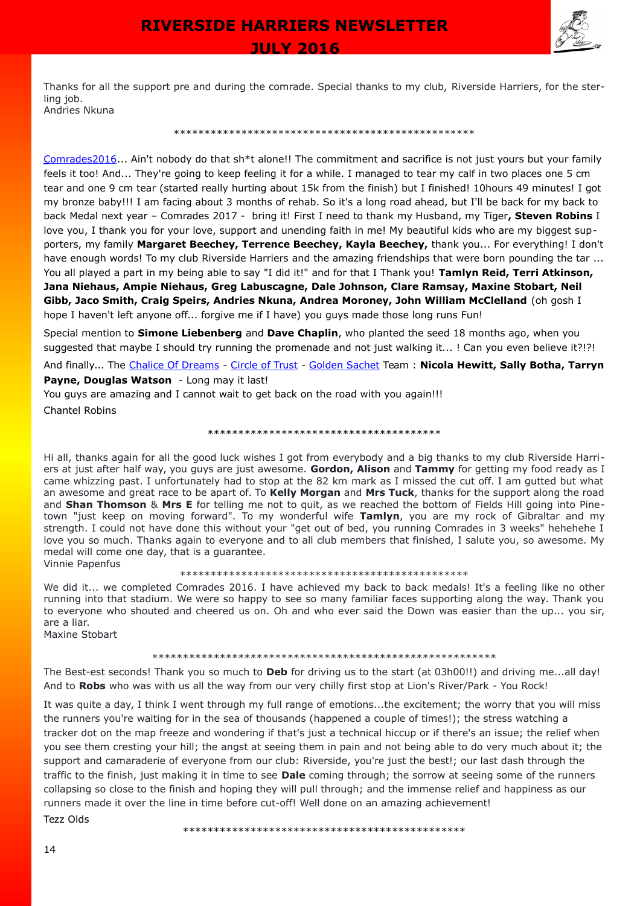

Thanks for all the support pre and during the comrade. Special thanks to my club, Riverside Harriers, for the sterling job. Andries Nkuna

#### \*\*\*\*\*\*\*\*\*\*\*\*\*\*\*\*\*\*\*\*\*\*\*\*\*\*\*\*\*\*\*\*\*\*\*\*\*\*\*\*\*\*\*\*\*\*\*\*\*

 [Comrades2016.](https://www.facebook.com/hashtag/comrades2016?source=feed_text&story_id=10153578510622826).. Ain't nobody do that sh\*t alone!! The commitment and sacrifice is not just yours but your family feels it too! And... They're going to keep feeling it for a while. I managed to tear my calf in two places one 5 cm tear and one 9 cm tear (started really hurting about 15k from the finish) but I finished! 10hours 49 minutes! I got my bronze baby!!! I am facing about 3 months of rehab. So it's a long road ahead, but I'll be back for my back to back Medal next year – Comrades 2017 - bring it! First I need to thank my Husband, my Tiger**, [Steven Robins](https://www.facebook.com/steven.robins.357)** I love you, I thank you for your love, support and unending faith in me! My beautiful kids who are my biggest supporters, my family **[Margaret Beechey,](https://www.facebook.com/margaret.beechey.5) [Terrence Beechey,](https://www.facebook.com/terrence.beechey) [Kayla Beechey,](https://www.facebook.com/kayla.beechey.9)** thank you... For everything! I don't have enough words! To my club [Riverside Harriers](https://www.facebook.com/riverside.harriers) and the amazing friendships that were born pounding the tar ... You all played a part in my being able to say "I did it!" and for that I Thank you! **Tamlyn Reid, Terri Atkinson, Jana Niehaus, [Ampie Niehaus,](https://www.facebook.com/ampie.niehaus) Greg Labuscagne, Dale Johnson, Clare Ramsay, Maxine Stobart, Neil Gibb, Jaco Smith, Craig Speirs, Andries Nkuna, Andrea Moroney, John William McClelland** (oh gosh I hope I haven't left anyone off... forgive me if I have) you guys made those long runs Fun!

Special mention to **[Simone Liebenberg](https://www.facebook.com/simone.cartledge)** and **[Dave Chaplin](https://www.facebook.com/dave.chaplin.94)**, who planted the seed 18 months ago, when you suggested that maybe I should try running the promenade and not just walking it... ! Can you even believe it?!?!

And finally... The [Chalice Of Dreams](https://www.facebook.com/hashtag/chaliceofdreams?source=feed_text&story_id=10153578510622826) - [Circle of Trust](https://www.facebook.com/hashtag/circleoftrust?source=feed_text&story_id=10153578510622826) - [Golden Sachet](https://www.facebook.com/hashtag/goldensachet?source=feed_text&story_id=10153578510622826) Team : **[Nicola Hewitt,](https://www.facebook.com/nicola.stirzakerhewitt) [Sally Botha,](https://www.facebook.com/sally.botha) [Tarryn](https://www.facebook.com/tarryn.l.payne) [Payne,](https://www.facebook.com/tarryn.l.payne) [Douglas Watson](https://www.facebook.com/douglas.watson.96)** - Long may it last!

You guys are amazing and I cannot wait to get back on the road with you again!!! Chantel Robins

\*\*\*\*\*\*\*\*\*\*\*\*\*\*\*\*\*\*\*\*\*\*\*\*\*\*\*\*\*\*\*\*\*\*\*\*\*\*

Hi all, thanks again for all the good luck wishes I got from everybody and a big thanks to my club Riverside Harriers at just after half way, you guys are just awesome. **Gordon, Alison** and **Tammy** for getting my food ready as I came whizzing past. I unfortunately had to stop at the 82 km mark as I missed the cut off. I am gutted but what an awesome and great race to be apart of. To **Kelly Morgan** and **Mrs Tuck**, thanks for the support along the road and **Shan Thomson** & **Mrs E** for telling me not to quit, as we reached the bottom of Fields Hill going into Pinetown "just keep on moving forward". To my wonderful wife **Tamlyn**, you are my rock of Gibraltar and my strength. I could not have done this without your "get out of bed, you running Comrades in 3 weeks" hehehehe I love you so much. Thanks again to everyone and to all club members that finished, I salute you, so awesome. My medal will come one day, that is a guarantee. Vinnie Papenfus

\*\*\*\*\*\*\*\*\*\*\*\*\*\*\*\*\*\*\*\*\*\*\*\*\*\*\*\*\*\*\*\*\*\*\*\*\*\*\*\*\*\*\*\*\*\*\*

We did it... we completed Comrades 2016. I have achieved my back to back medals! It's a feeling like no other running into that stadium. We were so happy to see so many familiar faces supporting along the way. Thank you to everyone who shouted and cheered us on. Oh and who ever said the Down was easier than the up... you sir, are a liar.

Maxine Stobart

#### \*\*\*\*\*\*\*\*\*\*\*\*\*\*\*\*\*\*\*\*\*\*\*\*\*\*\*\*\*\*\*\*\*\*\*\*\*\*\*\*\*\*\*\*\*\*\*\*\*\*\*\*\*\*\*\*

The Best-est seconds! Thank you so much to **Deb** for driving us to the start (at 03h00!!) and driving me...all day! And to **Robs** who was with us all the way from our very chilly first stop at Lion's River/Park - You Rock!

It was quite a day, I think I went through my full range of emotions...the excitement; the worry that you will miss the runners you're waiting for in the sea of thousands (happened a couple of times!); the stress watching a tracker dot on the map freeze and wondering if that's just a technical hiccup or if there's an issue; the relief when you see them cresting your hill; the angst at seeing them in pain and not being able to do very much about it; the support and camaraderie of everyone from our club: Riverside, you're just the best!; our last dash through the traffic to the finish, just making it in time to see **Dale** coming through; the sorrow at seeing some of the runners collapsing so close to the finish and hoping they will pull through; and the immense relief and happiness as our runners made it over the line in time before cut-off! Well done on an amazing achievement!

Tezz Olds

\*\*\*\*\*\*\*\*\*\*\*\*\*\*\*\*\*\*\*\*\*\*\*\*\*\*\*\*\*\*\*\*\*\*\*\*\*\*\*\*\*\*\*\*\*\*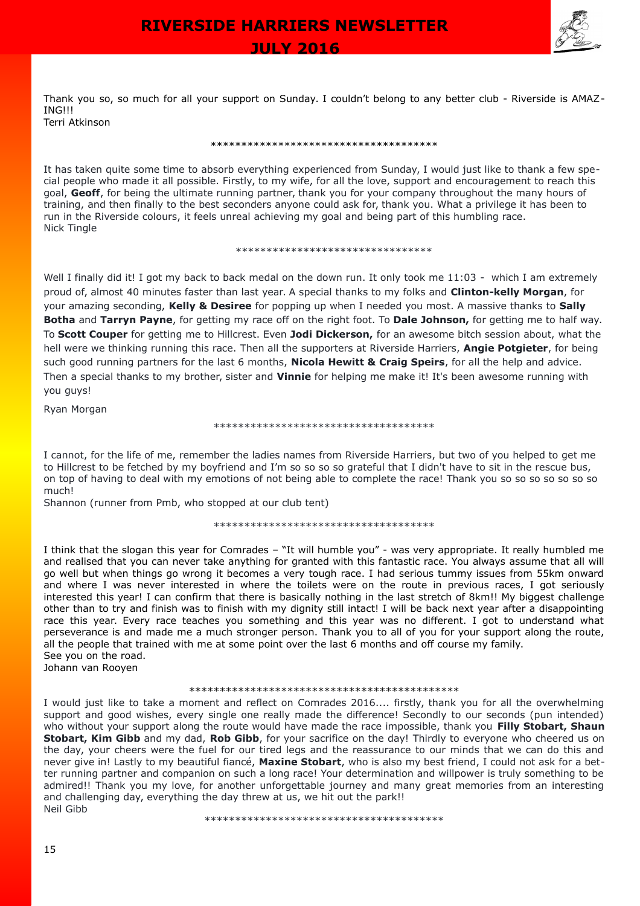

 **JULY 2016** 

Thank you so, so much for all your support on Sunday. I couldn't belong to any better club - Riverside is AMAZ-ING!!! Terri Atkinson

\*\*\*\*\*\*\*\*\*\*\*\*\*\*\*\*\*\*\*\*\*\*\*\*\*\*\*\*\*\*\*\*\*\*\*\*\*

It has taken quite some time to absorb everything experienced from Sunday, I would just like to thank a few special people who made it all possible. Firstly, to my wife, for all the love, support and encouragement to reach this goal, **Geoff**, for being the ultimate running partner, thank you for your company throughout the many hours of training, and then finally to the best seconders anyone could ask for, thank you. What a privilege it has been to run in the Riverside colours, it feels unreal achieving my goal and being part of this humbling race. Nick Tingle

\*\*\*\*\*\*\*\*\*\*\*\*\*\*\*\*\*\*\*\*\*\*\*\*\*\*\*\*\*\*\*\*

Well I finally did it! I got my back to back medal on the down run. It only took me 11:03 - which I am extremely proud of, almost 40 minutes faster than last year. A special thanks to my folks and **Clinton-kelly Morgan**, for your amazing seconding, **Kelly & Desiree** for popping up when I needed you most. A massive thanks to **Sally Botha** and **Tarryn Payne**, for getting my race off on the right foot. To **Dale Johnson,** for getting me to half way. To **Scott Couper** for getting me to Hillcrest. Even **Jodi Dickerson,** for an awesome bitch session about, what the hell were we thinking running this race. Then all the supporters at Riverside Harriers, **Angie Potgieter**, for being such good running partners for the last 6 months, **Nicola Hewitt & Craig Speirs**, for all the help and advice. Then a special thanks to my brother, sister and **Vinnie** for helping me make it! It's been awesome running with you guys!

Ryan Morgan

#### \*\*\*\*\*\*\*\*\*\*\*\*\*\*\*\*\*\*\*\*\*\*\*\*\*\*\*\*\*\*\*\*\*\*\*\*

I cannot, for the life of me, remember the ladies names from Riverside Harriers, but two of you helped to get me to Hillcrest to be fetched by my boyfriend and I'm so so so so grateful that I didn't have to sit in the rescue bus, on top of having to deal with my emotions of not being able to complete the race! Thank you so so so so so so so much!

Shannon (runner from Pmb, who stopped at our club tent)

#### \*\*\*\*\*\*\*\*\*\*\*\*\*\*\*\*\*\*\*\*\*\*\*\*\*\*\*\*\*\*\*\*\*\*\*\*

I think that the slogan this year for Comrades – "It will humble you" - was very appropriate. It really humbled me and realised that you can never take anything for granted with this fantastic race. You always assume that all will go well but when things go wrong it becomes a very tough race. I had serious tummy issues from 55km onward and where I was never interested in where the toilets were on the route in previous races, I got seriously interested this year! I can confirm that there is basically nothing in the last stretch of 8km!! My biggest challenge other than to try and finish was to finish with my dignity still intact! I will be back next year after a disappointing race this year. Every race teaches you something and this year was no different. I got to understand what perseverance is and made me a much stronger person. Thank you to all of you for your support along the route, all the people that trained with me at some point over the last 6 months and off course my family. See you on the road.

Johann van Rooyen

#### \*\*\*\*\*\*\*\*\*\*\*\*\*\*\*\*\*\*\*\*\*\*\*\*\*\*\*\*\*\*\*\*\*\*\*\*\*\*\*\*\*\*\*\*

I would just like to take a moment and reflect on Comrades 2016.... firstly, thank you for all the overwhelming support and good wishes, every single one really made the difference! Secondly to our seconds (pun intended) who without your support along the route would have made the race impossible, thank you **Filly Stobart, Shaun Stobart, Kim Gibb** and my dad, **Rob Gibb**, for your sacrifice on the day! Thirdly to everyone who cheered us on the day, your cheers were the fuel for our tired legs and the reassurance to our minds that we can do this and never give in! Lastly to my beautiful fiancé, **Maxine Stobart**, who is also my best friend, I could not ask for a better running partner and companion on such a long race! Your determination and willpower is truly something to be admired!! Thank you my love, for another unforgettable journey and many great memories from an interesting and challenging day, everything the day threw at us, we hit out the park!! Neil Gibb

\*\*\*\*\*\*\*\*\*\*\*\*\*\*\*\*\*\*\*\*\*\*\*\*\*\*\*\*\*\*\*\*\*\*\*\*\*\*\*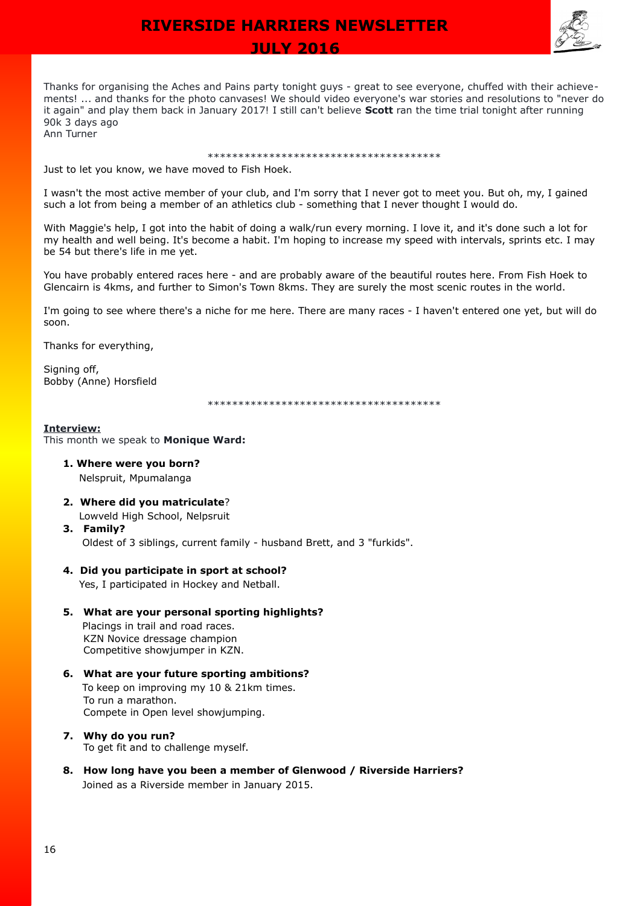

 **JULY 2016** 

Thanks for organising the Aches and Pains party tonight guys - great to see everyone, chuffed with their achievements! ... and thanks for the photo canvases! We should video everyone's war stories and resolutions to "never do it again" and play them back in January 2017! I still can't believe **Scott** ran the time trial tonight after running 90k 3 days ago Ann Turner

### \*\*\*\*\*\*\*\*\*\*\*\*\*\*\*\*\*\*\*\*\*\*\*\*\*\*\*\*\*\*\*\*\*\*\*\*\*\*

Just to let you know, we have moved to Fish Hoek.

I wasn't the most active member of your club, and I'm sorry that I never got to meet you. But oh, my, I gained such a lot from being a member of an athletics club - something that I never thought I would do.

With Maggie's help, I got into the habit of doing a walk/run every morning. I love it, and it's done such a lot for my health and well being. It's become a habit. I'm hoping to increase my speed with intervals, sprints etc. I may be 54 but there's life in me yet.

You have probably entered races here - and are probably aware of the beautiful routes here. From Fish Hoek to Glencairn is 4kms, and further to Simon's Town 8kms. They are surely the most scenic routes in the world.

I'm going to see where there's a niche for me here. There are many races - I haven't entered one yet, but will do soon.

Thanks for everything,

Signing off, Bobby (Anne) Horsfield

\*\*\*\*\*\*\*\*\*\*\*\*\*\*\*\*\*\*\*\*\*\*\*\*\*\*\*\*\*\*\*\*\*\*\*\*\*\*

### **Interview:**

This month we speak to **Monique Ward:**

- **1. Where were you born?** Nelspruit, Mpumalanga
- **2. Where did you matriculate**? Lowveld High School, Nelpsruit
- **3. Family?** Oldest of 3 siblings, current family - husband Brett, and 3 "furkids".

## **4. Did you participate in sport at school?**

Yes, I participated in Hockey and Netball.

- **5. What are your personal sporting highlights?** Placings in trail and road races. KZN Novice dressage champion Competitive showjumper in KZN.
- **6. What are your future sporting ambitions?** To keep on improving my 10 & 21km times. To run a marathon. Compete in Open level showjumping.
- **7. Why do you run?** To get fit and to challenge myself.
- **8. How long have you been a member of Glenwood / Riverside Harriers?** Joined as a Riverside member in January 2015.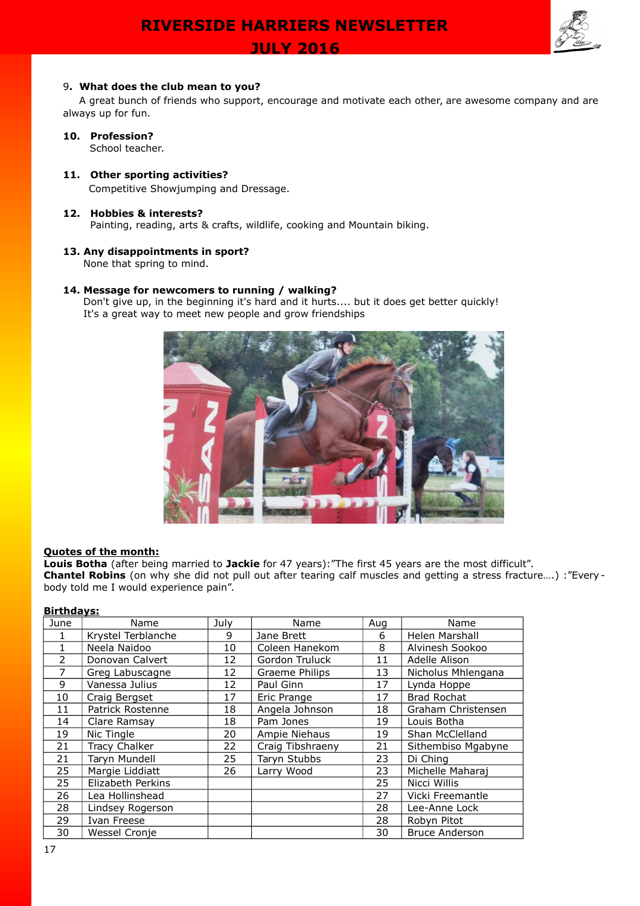

### 9**. What does the club mean to you?**

A great bunch of friends who support, encourage and motivate each other, are awesome company and are always up for fun.

# **10. Profession?**

School teacher.

# **11. Other sporting activities?** Competitive Showjumping and Dressage.

# **12. Hobbies & interests?**

Painting, reading, arts & crafts, wildlife, cooking and Mountain biking.

### **13. Any disappointments in sport?**

None that spring to mind.

## **14. Message for newcomers to running / walking?**

 Don't give up, in the beginning it's hard and it hurts.... but it does get better quickly! It's a great way to meet new people and grow friendships



## **Quotes of the month:**

**Louis Botha** (after being married to **Jackie** for 47 years):"The first 45 years are the most difficult". **Chantel Robins** (on why she did not pull out after tearing calf muscles and getting a stress fracture….) :"Every body told me I would experience pain".

| <b>Birthdays:</b> |                      |      |                  |     |                       |  |  |  |
|-------------------|----------------------|------|------------------|-----|-----------------------|--|--|--|
| June              | Name                 | July | Name             | Aug | Name                  |  |  |  |
| 1                 | Krystel Terblanche   | 9    | Jane Brett       | 6   | Helen Marshall        |  |  |  |
| 1                 | Neela Naidoo         | 10   | Coleen Hanekom   | 8   | Alvinesh Sookoo       |  |  |  |
| $\overline{2}$    | Donovan Calvert      | 12   | Gordon Truluck   | 11  | Adelle Alison         |  |  |  |
| $\overline{7}$    | Greg Labuscagne      | 12   | Graeme Philips   | 13  | Nicholus Mhlengana    |  |  |  |
| 9                 | Vanessa Julius       | 12   | Paul Ginn        | 17  | Lynda Hoppe           |  |  |  |
| 10                | Craig Bergset        | 17   | Eric Prange      | 17  | <b>Brad Rochat</b>    |  |  |  |
| 11                | Patrick Rostenne     | 18   | Angela Johnson   | 18  | Graham Christensen    |  |  |  |
| 14                | Clare Ramsay         | 18   | Pam Jones        | 19  | Louis Botha           |  |  |  |
| 19                | Nic Tingle           | 20   | Ampie Niehaus    | 19  | Shan McClelland       |  |  |  |
| 21                | <b>Tracy Chalker</b> | 22   | Craig Tibshraeny | 21  | Sithembiso Mgabyne    |  |  |  |
| 21                | Taryn Mundell        | 25   | Taryn Stubbs     | 23  | Di Ching              |  |  |  |
| 25                | Margie Liddiatt      | 26   | Larry Wood       | 23  | Michelle Maharaj      |  |  |  |
| 25                | Elizabeth Perkins    |      |                  | 25  | Nicci Willis          |  |  |  |
| 26                | Lea Hollinshead      |      |                  | 27  | Vicki Freemantle      |  |  |  |
| 28                | Lindsey Rogerson     |      |                  | 28  | Lee-Anne Lock         |  |  |  |
| 29                | Ivan Freese          |      |                  | 28  | Robyn Pitot           |  |  |  |
| 30                | Wessel Cronje        |      |                  | 30  | <b>Bruce Anderson</b> |  |  |  |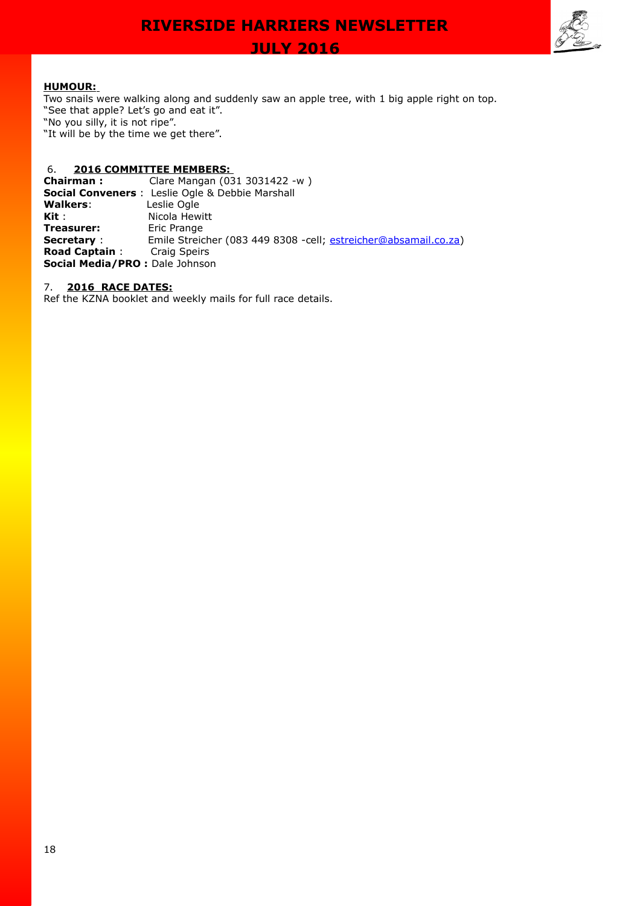

 **JULY 2016** 

# **HUMOUR:**

Two snails were walking along and suddenly saw an apple tree, with 1 big apple right on top. "See that apple? Let's go and eat it". "No you silly, it is not ripe". "It will be by the time we get there".

# 6. **2016 COMMITTEE MEMBERS:**

**Chairman :** Clare Mangan (031 3031422 -w ) **Social Conveners** : Leslie Ogle & Debbie Marshall **Walkers**: Leslie Ogle **Kit** : Nicola Hewitt **Treasurer:** Eric Prange **Secretary** : Emile Streicher (083 449 8308 -cell; [estreicher@absamail.co.za\)](mailto:estreicher@absamail.co.za) **Road Captain** : Craig Speirs **Social Media/PRO :** Dale Johnson

7. **2016 RACE DATES:**

Ref the KZNA booklet and weekly mails for full race details.